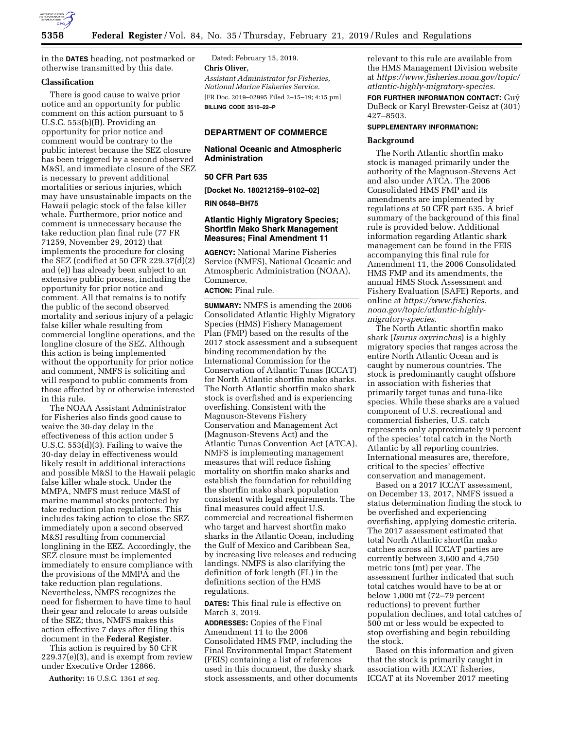

in the **DATES** heading, not postmarked or otherwise transmitted by this date.

## **Classification**

There is good cause to waive prior notice and an opportunity for public comment on this action pursuant to 5 U.S.C. 553(b)(B). Providing an opportunity for prior notice and comment would be contrary to the public interest because the SEZ closure has been triggered by a second observed M&SI, and immediate closure of the SEZ is necessary to prevent additional mortalities or serious injuries, which may have unsustainable impacts on the Hawaii pelagic stock of the false killer whale. Furthermore, prior notice and comment is unnecessary because the take reduction plan final rule (77 FR 71259, November 29, 2012) that implements the procedure for closing the SEZ (codified at 50 CFR 229.37(d)(2) and (e)) has already been subject to an extensive public process, including the opportunity for prior notice and comment. All that remains is to notify the public of the second observed mortality and serious injury of a pelagic false killer whale resulting from commercial longline operations, and the longline closure of the SEZ. Although this action is being implemented without the opportunity for prior notice and comment, NMFS is soliciting and will respond to public comments from those affected by or otherwise interested in this rule.

The NOAA Assistant Administrator for Fisheries also finds good cause to waive the 30-day delay in the effectiveness of this action under 5 U.S.C. 553(d)(3). Failing to waive the 30-day delay in effectiveness would likely result in additional interactions and possible M&SI to the Hawaii pelagic false killer whale stock. Under the MMPA, NMFS must reduce M&SI of marine mammal stocks protected by take reduction plan regulations. This includes taking action to close the SEZ immediately upon a second observed M&SI resulting from commercial longlining in the EEZ. Accordingly, the SEZ closure must be implemented immediately to ensure compliance with the provisions of the MMPA and the take reduction plan regulations. Nevertheless, NMFS recognizes the need for fishermen to have time to haul their gear and relocate to areas outside of the SEZ; thus, NMFS makes this action effective 7 days after filing this document in the **Federal Register**.

This action is required by 50 CFR 229.37(e)(3), and is exempt from review under Executive Order 12866.

**Authority:** 16 U.S.C. 1361 *et seq.* 

Dated: February 15, 2019. **Chris Oliver,**  *Assistant Administrator for Fisheries, National Marine Fisheries Service.*  [FR Doc. 2019–02995 Filed 2–15–19; 4:15 pm] **BILLING CODE 3510–22–P** 

### **DEPARTMENT OF COMMERCE**

### **National Oceanic and Atmospheric Administration**

### **50 CFR Part 635**

**[Docket No. 180212159–9102–02]** 

#### **RIN 0648–BH75**

# **Atlantic Highly Migratory Species; Shortfin Mako Shark Management Measures; Final Amendment 11**

**AGENCY:** National Marine Fisheries Service (NMFS), National Oceanic and Atmospheric Administration (NOAA), Commerce.

**ACTION:** Final rule.

**SUMMARY:** NMFS is amending the 2006 Consolidated Atlantic Highly Migratory Species (HMS) Fishery Management Plan (FMP) based on the results of the 2017 stock assessment and a subsequent binding recommendation by the International Commission for the Conservation of Atlantic Tunas (ICCAT) for North Atlantic shortfin mako sharks. The North Atlantic shortfin mako shark stock is overfished and is experiencing overfishing. Consistent with the Magnuson-Stevens Fishery Conservation and Management Act (Magnuson-Stevens Act) and the Atlantic Tunas Convention Act (ATCA), NMFS is implementing management measures that will reduce fishing mortality on shortfin mako sharks and establish the foundation for rebuilding the shortfin mako shark population consistent with legal requirements. The final measures could affect U.S. commercial and recreational fishermen who target and harvest shortfin mako sharks in the Atlantic Ocean, including the Gulf of Mexico and Caribbean Sea, by increasing live releases and reducing landings. NMFS is also clarifying the definition of fork length (FL) in the definitions section of the HMS regulations.

**DATES:** This final rule is effective on March 3, 2019.

**ADDRESSES:** Copies of the Final Amendment 11 to the 2006 Consolidated HMS FMP, including the Final Environmental Impact Statement (FEIS) containing a list of references used in this document, the dusky shark stock assessments, and other documents relevant to this rule are available from the HMS Management Division website at *[https://www.fisheries.noaa.gov/topic/](https://www.fisheries.noaa.gov/topic/atlantic-highly-migratory-species)  [atlantic-highly-migratory-species.](https://www.fisheries.noaa.gov/topic/atlantic-highly-migratory-species)* 

**FOR FURTHER INFORMATION CONTACT:** Guy´ DuBeck or Karyl Brewster-Geisz at (301) 427–8503.

# **SUPPLEMENTARY INFORMATION:**

### **Background**

The North Atlantic shortfin mako stock is managed primarily under the authority of the Magnuson-Stevens Act and also under ATCA. The 2006 Consolidated HMS FMP and its amendments are implemented by regulations at 50 CFR part 635. A brief summary of the background of this final rule is provided below. Additional information regarding Atlantic shark management can be found in the FEIS accompanying this final rule for Amendment 11, the 2006 Consolidated HMS FMP and its amendments, the annual HMS Stock Assessment and Fishery Evaluation (SAFE) Reports, and online at *[https://www.fisheries.](https://www.fisheries.noaa.gov/topic/atlantic-highly-migratory-species) [noaa.gov/topic/atlantic-highly](https://www.fisheries.noaa.gov/topic/atlantic-highly-migratory-species)[migratory-species.](https://www.fisheries.noaa.gov/topic/atlantic-highly-migratory-species)* 

The North Atlantic shortfin mako shark (*Isurus oxyrinchus*) is a highly migratory species that ranges across the entire North Atlantic Ocean and is caught by numerous countries. The stock is predominantly caught offshore in association with fisheries that primarily target tunas and tuna-like species. While these sharks are a valued component of U.S. recreational and commercial fisheries, U.S. catch represents only approximately 9 percent of the species' total catch in the North Atlantic by all reporting countries. International measures are, therefore, critical to the species' effective conservation and management.

Based on a 2017 ICCAT assessment, on December 13, 2017, NMFS issued a status determination finding the stock to be overfished and experiencing overfishing, applying domestic criteria. The 2017 assessment estimated that total North Atlantic shortfin mako catches across all ICCAT parties are currently between 3,600 and 4,750 metric tons (mt) per year. The assessment further indicated that such total catches would have to be at or below 1,000 mt (72–79 percent reductions) to prevent further population declines, and total catches of 500 mt or less would be expected to stop overfishing and begin rebuilding the stock.

Based on this information and given that the stock is primarily caught in association with ICCAT fisheries, ICCAT at its November 2017 meeting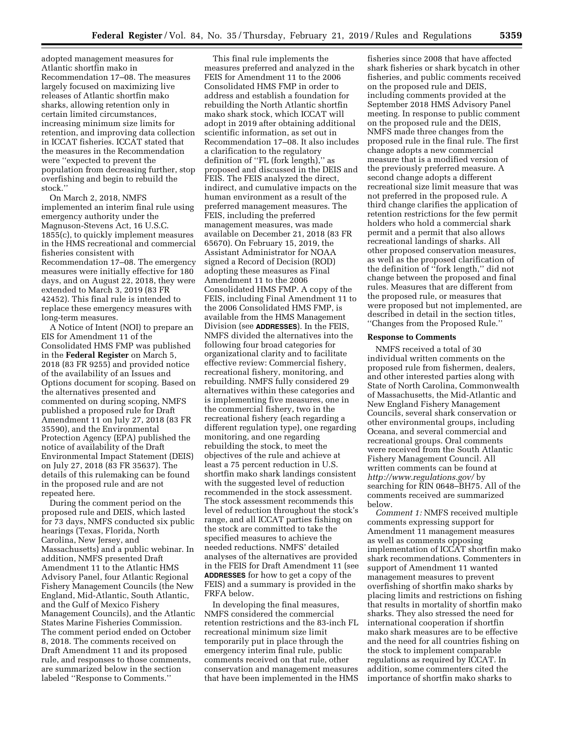adopted management measures for Atlantic shortfin mako in Recommendation 17–08. The measures largely focused on maximizing live releases of Atlantic shortfin mako sharks, allowing retention only in certain limited circumstances, increasing minimum size limits for retention, and improving data collection in ICCAT fisheries. ICCAT stated that the measures in the Recommendation were ''expected to prevent the population from decreasing further, stop overfishing and begin to rebuild the stock.''

On March 2, 2018, NMFS implemented an interim final rule using emergency authority under the Magnuson-Stevens Act, 16 U.S.C. 1855(c), to quickly implement measures in the HMS recreational and commercial fisheries consistent with Recommendation 17–08. The emergency measures were initially effective for 180 days, and on August 22, 2018, they were extended to March 3, 2019 (83 FR 42452). This final rule is intended to replace these emergency measures with long-term measures.

A Notice of Intent (NOI) to prepare an EIS for Amendment 11 of the Consolidated HMS FMP was published in the **Federal Register** on March 5, 2018 (83 FR 9255) and provided notice of the availability of an Issues and Options document for scoping. Based on the alternatives presented and commented on during scoping, NMFS published a proposed rule for Draft Amendment 11 on July 27, 2018 (83 FR 35590), and the Environmental Protection Agency (EPA) published the notice of availability of the Draft Environmental Impact Statement (DEIS) on July 27, 2018 (83 FR 35637). The details of this rulemaking can be found in the proposed rule and are not repeated here.

During the comment period on the proposed rule and DEIS, which lasted for 73 days, NMFS conducted six public hearings (Texas, Florida, North Carolina, New Jersey, and Massachusetts) and a public webinar. In addition, NMFS presented Draft Amendment 11 to the Atlantic HMS Advisory Panel, four Atlantic Regional Fishery Management Councils (the New England, Mid-Atlantic, South Atlantic, and the Gulf of Mexico Fishery Management Councils), and the Atlantic States Marine Fisheries Commission. The comment period ended on October 8, 2018. The comments received on Draft Amendment 11 and its proposed rule, and responses to those comments, are summarized below in the section labeled ''Response to Comments.''

This final rule implements the measures preferred and analyzed in the FEIS for Amendment 11 to the 2006 Consolidated HMS FMP in order to address and establish a foundation for rebuilding the North Atlantic shortfin mako shark stock, which ICCAT will adopt in 2019 after obtaining additional scientific information, as set out in Recommendation 17–08. It also includes a clarification to the regulatory definition of ''FL (fork length),'' as proposed and discussed in the DEIS and FEIS. The FEIS analyzed the direct, indirect, and cumulative impacts on the human environment as a result of the preferred management measures. The FEIS, including the preferred management measures, was made available on December 21, 2018 (83 FR 65670). On February 15, 2019, the Assistant Administrator for NOAA signed a Record of Decision (ROD) adopting these measures as Final Amendment 11 to the 2006 Consolidated HMS FMP. A copy of the FEIS, including Final Amendment 11 to the 2006 Consolidated HMS FMP, is available from the HMS Management Division (see **ADDRESSES**). In the FEIS, NMFS divided the alternatives into the following four broad categories for organizational clarity and to facilitate effective review: Commercial fishery, recreational fishery, monitoring, and rebuilding. NMFS fully considered 29 alternatives within these categories and is implementing five measures, one in the commercial fishery, two in the recreational fishery (each regarding a different regulation type), one regarding monitoring, and one regarding rebuilding the stock, to meet the objectives of the rule and achieve at least a 75 percent reduction in U.S. shortfin mako shark landings consistent with the suggested level of reduction recommended in the stock assessment. The stock assessment recommends this level of reduction throughout the stock's range, and all ICCAT parties fishing on the stock are committed to take the specified measures to achieve the needed reductions. NMFS' detailed analyses of the alternatives are provided in the FEIS for Draft Amendment 11 (see **ADDRESSES** for how to get a copy of the FEIS) and a summary is provided in the FRFA below.

In developing the final measures, NMFS considered the commercial retention restrictions and the 83-inch FL recreational minimum size limit temporarily put in place through the emergency interim final rule, public comments received on that rule, other conservation and management measures that have been implemented in the HMS

fisheries since 2008 that have affected shark fisheries or shark bycatch in other fisheries, and public comments received on the proposed rule and DEIS, including comments provided at the September 2018 HMS Advisory Panel meeting. In response to public comment on the proposed rule and the DEIS, NMFS made three changes from the proposed rule in the final rule. The first change adopts a new commercial measure that is a modified version of the previously preferred measure. A second change adopts a different recreational size limit measure that was not preferred in the proposed rule. A third change clarifies the application of retention restrictions for the few permit holders who hold a commercial shark permit and a permit that also allows recreational landings of sharks. All other proposed conservation measures, as well as the proposed clarification of the definition of ''fork length,'' did not change between the proposed and final rules. Measures that are different from the proposed rule, or measures that were proposed but not implemented, are described in detail in the section titles, ''Changes from the Proposed Rule.''

### **Response to Comments**

NMFS received a total of 30 individual written comments on the proposed rule from fishermen, dealers, and other interested parties along with State of North Carolina, Commonwealth of Massachusetts, the Mid-Atlantic and New England Fishery Management Councils, several shark conservation or other environmental groups, including Oceana, and several commercial and recreational groups. Oral comments were received from the South Atlantic Fishery Management Council. All written comments can be found at *<http://www.regulations.gov/>*by searching for RIN 0648–BH75. All of the comments received are summarized below.

*Comment 1:* NMFS received multiple comments expressing support for Amendment 11 management measures as well as comments opposing implementation of ICCAT shortfin mako shark recommendations. Commenters in support of Amendment 11 wanted management measures to prevent overfishing of shortfin mako sharks by placing limits and restrictions on fishing that results in mortality of shortfin mako sharks. They also stressed the need for international cooperation if shortfin mako shark measures are to be effective and the need for all countries fishing on the stock to implement comparable regulations as required by ICCAT. In addition, some commenters cited the importance of shortfin mako sharks to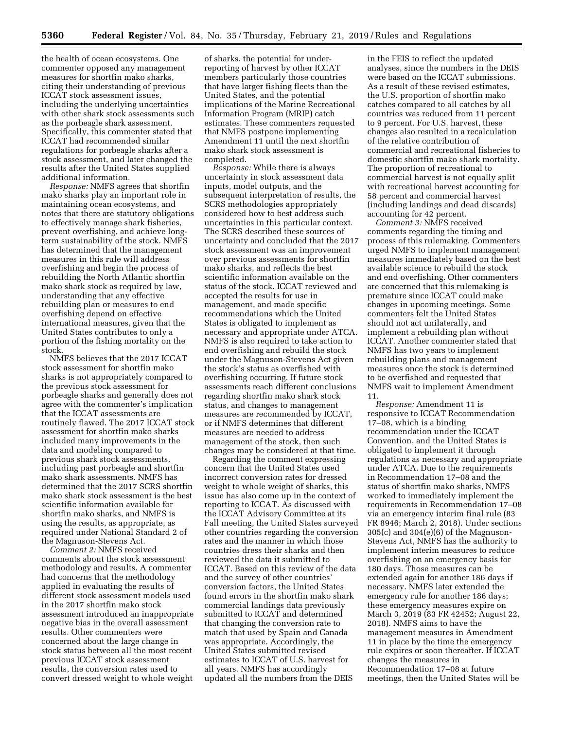the health of ocean ecosystems. One commenter opposed any management measures for shortfin mako sharks, citing their understanding of previous ICCAT stock assessment issues, including the underlying uncertainties with other shark stock assessments such as the porbeagle shark assessment. Specifically, this commenter stated that ICCAT had recommended similar regulations for porbeagle sharks after a stock assessment, and later changed the results after the United States supplied additional information.

*Response:* NMFS agrees that shortfin mako sharks play an important role in maintaining ocean ecosystems, and notes that there are statutory obligations to effectively manage shark fisheries, prevent overfishing, and achieve longterm sustainability of the stock. NMFS has determined that the management measures in this rule will address overfishing and begin the process of rebuilding the North Atlantic shortfin mako shark stock as required by law, understanding that any effective rebuilding plan or measures to end overfishing depend on effective international measures, given that the United States contributes to only a portion of the fishing mortality on the stock.

NMFS believes that the 2017 ICCAT stock assessment for shortfin mako sharks is not appropriately compared to the previous stock assessment for porbeagle sharks and generally does not agree with the commenter's implication that the ICCAT assessments are routinely flawed. The 2017 ICCAT stock assessment for shortfin mako sharks included many improvements in the data and modeling compared to previous shark stock assessments, including past porbeagle and shortfin mako shark assessments. NMFS has determined that the 2017 SCRS shortfin mako shark stock assessment is the best scientific information available for shortfin mako sharks, and NMFS is using the results, as appropriate, as required under National Standard 2 of the Magnuson-Stevens Act.

*Comment 2:* NMFS received comments about the stock assessment methodology and results. A commenter had concerns that the methodology applied in evaluating the results of different stock assessment models used in the 2017 shortfin mako stock assessment introduced an inappropriate negative bias in the overall assessment results. Other commenters were concerned about the large change in stock status between all the most recent previous ICCAT stock assessment results, the conversion rates used to convert dressed weight to whole weight

of sharks, the potential for underreporting of harvest by other ICCAT members particularly those countries that have larger fishing fleets than the United States, and the potential implications of the Marine Recreational Information Program (MRIP) catch estimates. These commenters requested that NMFS postpone implementing Amendment 11 until the next shortfin mako shark stock assessment is completed.

*Response:* While there is always uncertainty in stock assessment data inputs, model outputs, and the subsequent interpretation of results, the SCRS methodologies appropriately considered how to best address such uncertainties in this particular context. The SCRS described these sources of uncertainty and concluded that the 2017 stock assessment was an improvement over previous assessments for shortfin mako sharks, and reflects the best scientific information available on the status of the stock. ICCAT reviewed and accepted the results for use in management, and made specific recommendations which the United States is obligated to implement as necessary and appropriate under ATCA. NMFS is also required to take action to end overfishing and rebuild the stock under the Magnuson-Stevens Act given the stock's status as overfished with overfishing occurring. If future stock assessments reach different conclusions regarding shortfin mako shark stock status, and changes to management measures are recommended by ICCAT, or if NMFS determines that different measures are needed to address management of the stock, then such changes may be considered at that time.

Regarding the comment expressing concern that the United States used incorrect conversion rates for dressed weight to whole weight of sharks, this issue has also come up in the context of reporting to ICCAT. As discussed with the ICCAT Advisory Committee at its Fall meeting, the United States surveyed other countries regarding the conversion rates and the manner in which those countries dress their sharks and then reviewed the data it submitted to ICCAT. Based on this review of the data and the survey of other countries' conversion factors, the United States found errors in the shortfin mako shark commercial landings data previously submitted to ICCAT and determined that changing the conversion rate to match that used by Spain and Canada was appropriate. Accordingly, the United States submitted revised estimates to ICCAT of U.S. harvest for all years. NMFS has accordingly updated all the numbers from the DEIS

in the FEIS to reflect the updated analyses, since the numbers in the DEIS were based on the ICCAT submissions. As a result of these revised estimates, the U.S. proportion of shortfin mako catches compared to all catches by all countries was reduced from 11 percent to 9 percent. For U.S. harvest, these changes also resulted in a recalculation of the relative contribution of commercial and recreational fisheries to domestic shortfin mako shark mortality. The proportion of recreational to commercial harvest is not equally split with recreational harvest accounting for 58 percent and commercial harvest (including landings and dead discards) accounting for 42 percent.

*Comment 3:* NMFS received comments regarding the timing and process of this rulemaking. Commenters urged NMFS to implement management measures immediately based on the best available science to rebuild the stock and end overfishing. Other commenters are concerned that this rulemaking is premature since ICCAT could make changes in upcoming meetings. Some commenters felt the United States should not act unilaterally, and implement a rebuilding plan without ICCAT. Another commenter stated that NMFS has two years to implement rebuilding plans and management measures once the stock is determined to be overfished and requested that NMFS wait to implement Amendment 11.

*Response:* Amendment 11 is responsive to ICCAT Recommendation 17–08, which is a binding recommendation under the ICCAT Convention, and the United States is obligated to implement it through regulations as necessary and appropriate under ATCA. Due to the requirements in Recommendation 17–08 and the status of shortfin mako sharks, NMFS worked to immediately implement the requirements in Recommendation 17–08 via an emergency interim final rule (83 FR 8946; March 2, 2018). Under sections 305(c) and 304(e)(6) of the Magnuson-Stevens Act, NMFS has the authority to implement interim measures to reduce overfishing on an emergency basis for 180 days. Those measures can be extended again for another 186 days if necessary. NMFS later extended the emergency rule for another 186 days; these emergency measures expire on March 3, 2019 (83 FR 42452; August 22, 2018). NMFS aims to have the management measures in Amendment 11 in place by the time the emergency rule expires or soon thereafter. If ICCAT changes the measures in Recommendation 17–08 at future meetings, then the United States will be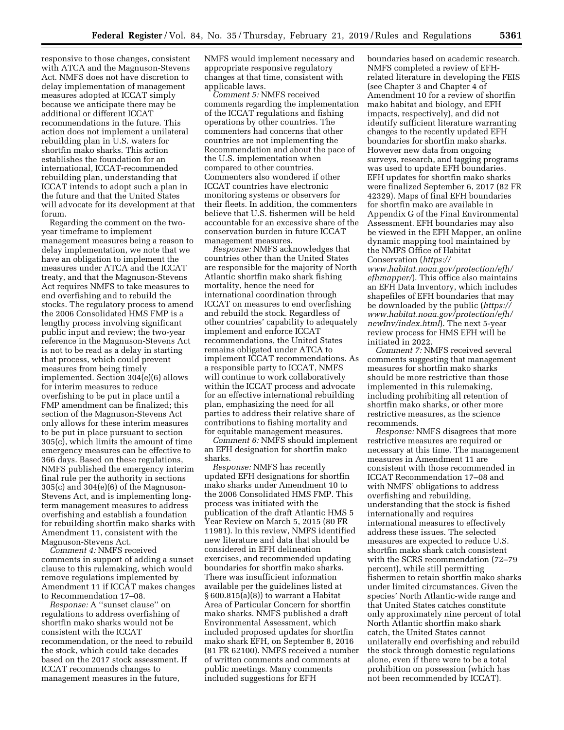responsive to those changes, consistent with ATCA and the Magnuson-Stevens Act. NMFS does not have discretion to delay implementation of management measures adopted at ICCAT simply because we anticipate there may be additional or different ICCAT recommendations in the future. This action does not implement a unilateral rebuilding plan in U.S. waters for shortfin mako sharks. This action establishes the foundation for an international, ICCAT-recommended rebuilding plan, understanding that ICCAT intends to adopt such a plan in the future and that the United States will advocate for its development at that forum.

Regarding the comment on the twoyear timeframe to implement management measures being a reason to delay implementation, we note that we have an obligation to implement the measures under ATCA and the ICCAT treaty, and that the Magnuson-Stevens Act requires NMFS to take measures to end overfishing and to rebuild the stocks. The regulatory process to amend the 2006 Consolidated HMS FMP is a lengthy process involving significant public input and review; the two-year reference in the Magnuson-Stevens Act is not to be read as a delay in starting that process, which could prevent measures from being timely implemented. Section 304(e)(6) allows for interim measures to reduce overfishing to be put in place until a FMP amendment can be finalized; this section of the Magnuson-Stevens Act only allows for these interim measures to be put in place pursuant to section 305(c), which limits the amount of time emergency measures can be effective to 366 days. Based on these regulations, NMFS published the emergency interim final rule per the authority in sections 305(c) and 304(e)(6) of the Magnuson-Stevens Act, and is implementing longterm management measures to address overfishing and establish a foundation for rebuilding shortfin mako sharks with Amendment 11, consistent with the Magnuson-Stevens Act.

*Comment 4:* NMFS received comments in support of adding a sunset clause to this rulemaking, which would remove regulations implemented by Amendment 11 if ICCAT makes changes to Recommendation 17–08.

*Response:* A ''sunset clause'' on regulations to address overfishing of shortfin mako sharks would not be consistent with the ICCAT recommendation, or the need to rebuild the stock, which could take decades based on the 2017 stock assessment. If ICCAT recommends changes to management measures in the future,

NMFS would implement necessary and appropriate responsive regulatory changes at that time, consistent with applicable laws.

*Comment 5:* NMFS received comments regarding the implementation of the ICCAT regulations and fishing operations by other countries. The commenters had concerns that other countries are not implementing the Recommendation and about the pace of the U.S. implementation when compared to other countries. Commenters also wondered if other ICCAT countries have electronic monitoring systems or observers for their fleets. In addition, the commenters believe that U.S. fishermen will be held accountable for an excessive share of the conservation burden in future ICCAT management measures.

*Response:* NMFS acknowledges that countries other than the United States are responsible for the majority of North Atlantic shortfin mako shark fishing mortality, hence the need for international coordination through ICCAT on measures to end overfishing and rebuild the stock. Regardless of other countries' capability to adequately implement and enforce ICCAT recommendations, the United States remains obligated under ATCA to implement ICCAT recommendations. As a responsible party to ICCAT, NMFS will continue to work collaboratively within the ICCAT process and advocate for an effective international rebuilding plan, emphasizing the need for all parties to address their relative share of contributions to fishing mortality and for equitable management measures.

*Comment 6:* NMFS should implement an EFH designation for shortfin mako sharks.

*Response:* NMFS has recently updated EFH designations for shortfin mako sharks under Amendment 10 to the 2006 Consolidated HMS FMP. This process was initiated with the publication of the draft Atlantic HMS 5 Year Review on March 5, 2015 (80 FR 11981). In this review, NMFS identified new literature and data that should be considered in EFH delineation exercises, and recommended updating boundaries for shortfin mako sharks. There was insufficient information available per the guidelines listed at § 600.815(a)(8)) to warrant a Habitat Area of Particular Concern for shortfin mako sharks. NMFS published a draft Environmental Assessment, which included proposed updates for shortfin mako shark EFH, on September 8, 2016 (81 FR 62100). NMFS received a number of written comments and comments at public meetings. Many comments included suggestions for EFH

boundaries based on academic research. NMFS completed a review of EFHrelated literature in developing the FEIS (see Chapter 3 and Chapter 4 of Amendment 10 for a review of shortfin mako habitat and biology, and EFH impacts, respectively), and did not identify sufficient literature warranting changes to the recently updated EFH boundaries for shortfin mako sharks. However new data from ongoing surveys, research, and tagging programs was used to update EFH boundaries. EFH updates for shortfin mako sharks were finalized September 6, 2017 (82 FR 42329). Maps of final EFH boundaries for shortfin mako are available in Appendix G of the Final Environmental Assessment. EFH boundaries may also be viewed in the EFH Mapper, an online dynamic mapping tool maintained by the NMFS Office of Habitat Conservation (*[https://](https://www.habitat.noaa.gov/protection/efh/efhmapper/)*

*[www.habitat.noaa.gov/protection/efh/](https://www.habitat.noaa.gov/protection/efh/efhmapper/)  [efhmapper/](https://www.habitat.noaa.gov/protection/efh/efhmapper/)*). This office also maintains an EFH Data Inventory, which includes shapefiles of EFH boundaries that may be downloaded by the public (*[https://](https://www.habitat.noaa.gov/protection/efh/newInv/index.html) [www.habitat.noaa.gov/protection/efh/](https://www.habitat.noaa.gov/protection/efh/newInv/index.html)  [newInv/index.html](https://www.habitat.noaa.gov/protection/efh/newInv/index.html)*). The next 5-year review process for HMS EFH will be initiated in 2022.

*Comment 7:* NMFS received several comments suggesting that management measures for shortfin mako sharks should be more restrictive than those implemented in this rulemaking, including prohibiting all retention of shortfin mako sharks, or other more restrictive measures, as the science recommends.

*Response:* NMFS disagrees that more restrictive measures are required or necessary at this time. The management measures in Amendment 11 are consistent with those recommended in ICCAT Recommendation 17–08 and with NMFS' obligations to address overfishing and rebuilding, understanding that the stock is fished internationally and requires international measures to effectively address these issues. The selected measures are expected to reduce U.S. shortfin mako shark catch consistent with the SCRS recommendation (72–79 percent), while still permitting fishermen to retain shortfin mako sharks under limited circumstances. Given the species' North Atlantic-wide range and that United States catches constitute only approximately nine percent of total North Atlantic shortfin mako shark catch, the United States cannot unilaterally end overfishing and rebuild the stock through domestic regulations alone, even if there were to be a total prohibition on possession (which has not been recommended by ICCAT).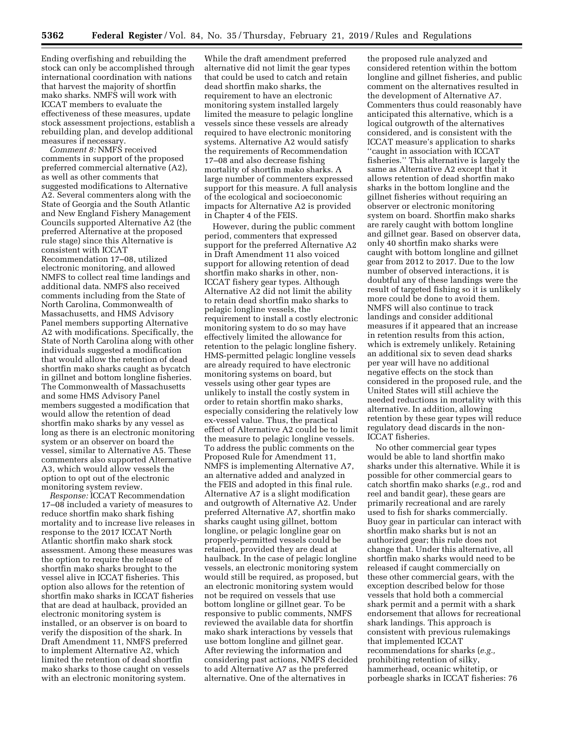Ending overfishing and rebuilding the stock can only be accomplished through international coordination with nations that harvest the majority of shortfin mako sharks. NMFS will work with ICCAT members to evaluate the effectiveness of these measures, update stock assessment projections, establish a rebuilding plan, and develop additional measures if necessary.

*Comment 8:* NMFS received comments in support of the proposed preferred commercial alternative (A2), as well as other comments that suggested modifications to Alternative A2. Several commenters along with the State of Georgia and the South Atlantic and New England Fishery Management Councils supported Alternative A2 (the preferred Alternative at the proposed rule stage) since this Alternative is consistent with ICCAT Recommendation 17–08, utilized electronic monitoring, and allowed NMFS to collect real time landings and additional data. NMFS also received comments including from the State of North Carolina, Commonwealth of Massachusetts, and HMS Advisory Panel members supporting Alternative A2 with modifications. Specifically, the State of North Carolina along with other individuals suggested a modification that would allow the retention of dead shortfin mako sharks caught as bycatch in gillnet and bottom longline fisheries. The Commonwealth of Massachusetts and some HMS Advisory Panel members suggested a modification that would allow the retention of dead shortfin mako sharks by any vessel as long as there is an electronic monitoring system or an observer on board the vessel, similar to Alternative A5. These commenters also supported Alternative A3, which would allow vessels the option to opt out of the electronic monitoring system review.

*Response:* ICCAT Recommendation 17–08 included a variety of measures to reduce shortfin mako shark fishing mortality and to increase live releases in response to the 2017 ICCAT North Atlantic shortfin mako shark stock assessment. Among these measures was the option to require the release of shortfin mako sharks brought to the vessel alive in ICCAT fisheries. This option also allows for the retention of shortfin mako sharks in ICCAT fisheries that are dead at haulback, provided an electronic monitoring system is installed, or an observer is on board to verify the disposition of the shark. In Draft Amendment 11, NMFS preferred to implement Alternative A2, which limited the retention of dead shortfin mako sharks to those caught on vessels with an electronic monitoring system.

While the draft amendment preferred alternative did not limit the gear types that could be used to catch and retain dead shortfin mako sharks, the requirement to have an electronic monitoring system installed largely limited the measure to pelagic longline vessels since these vessels are already required to have electronic monitoring systems. Alternative A2 would satisfy the requirements of Recommendation 17–08 and also decrease fishing mortality of shortfin mako sharks. A large number of commenters expressed support for this measure. A full analysis of the ecological and socioeconomic impacts for Alternative A2 is provided in Chapter 4 of the FEIS.

However, during the public comment period, commenters that expressed support for the preferred Alternative A2 in Draft Amendment 11 also voiced support for allowing retention of dead shortfin mako sharks in other, non-ICCAT fishery gear types. Although Alternative A2 did not limit the ability to retain dead shortfin mako sharks to pelagic longline vessels, the requirement to install a costly electronic monitoring system to do so may have effectively limited the allowance for retention to the pelagic longline fishery. HMS-permitted pelagic longline vessels are already required to have electronic monitoring systems on board, but vessels using other gear types are unlikely to install the costly system in order to retain shortfin mako sharks, especially considering the relatively low ex-vessel value. Thus, the practical effect of Alternative A2 could be to limit the measure to pelagic longline vessels. To address the public comments on the Proposed Rule for Amendment 11, NMFS is implementing Alternative A7, an alternative added and analyzed in the FEIS and adopted in this final rule. Alternative A7 is a slight modification and outgrowth of Alternative A2. Under preferred Alternative A7, shortfin mako sharks caught using gillnet, bottom longline, or pelagic longline gear on properly-permitted vessels could be retained, provided they are dead at haulback. In the case of pelagic longline vessels, an electronic monitoring system would still be required, as proposed, but an electronic monitoring system would not be required on vessels that use bottom longline or gillnet gear. To be responsive to public comments, NMFS reviewed the available data for shortfin mako shark interactions by vessels that use bottom longline and gillnet gear. After reviewing the information and considering past actions, NMFS decided to add Alternative A7 as the preferred alternative. One of the alternatives in

the proposed rule analyzed and considered retention within the bottom longline and gillnet fisheries, and public comment on the alternatives resulted in the development of Alternative A7. Commenters thus could reasonably have anticipated this alternative, which is a logical outgrowth of the alternatives considered, and is consistent with the ICCAT measure's application to sharks ''caught in association with ICCAT fisheries.'' This alternative is largely the same as Alternative A2 except that it allows retention of dead shortfin mako sharks in the bottom longline and the gillnet fisheries without requiring an observer or electronic monitoring system on board. Shortfin mako sharks are rarely caught with bottom longline and gillnet gear. Based on observer data, only 40 shortfin mako sharks were caught with bottom longline and gillnet gear from 2012 to 2017. Due to the low number of observed interactions, it is doubtful any of these landings were the result of targeted fishing so it is unlikely more could be done to avoid them. NMFS will also continue to track landings and consider additional measures if it appeared that an increase in retention results from this action, which is extremely unlikely. Retaining an additional six to seven dead sharks per year will have no additional negative effects on the stock than considered in the proposed rule, and the United States will still achieve the needed reductions in mortality with this alternative. In addition, allowing retention by these gear types will reduce regulatory dead discards in the non-ICCAT fisheries.

No other commercial gear types would be able to land shortfin mako sharks under this alternative. While it is possible for other commercial gears to catch shortfin mako sharks (*e.g.,* rod and reel and bandit gear), these gears are primarily recreational and are rarely used to fish for sharks commercially. Buoy gear in particular can interact with shortfin mako sharks but is not an authorized gear; this rule does not change that. Under this alternative, all shortfin mako sharks would need to be released if caught commercially on these other commercial gears, with the exception described below for those vessels that hold both a commercial shark permit and a permit with a shark endorsement that allows for recreational shark landings. This approach is consistent with previous rulemakings that implemented ICCAT recommendations for sharks (*e.g.,*  prohibiting retention of silky, hammerhead, oceanic whitetip, or porbeagle sharks in ICCAT fisheries: 76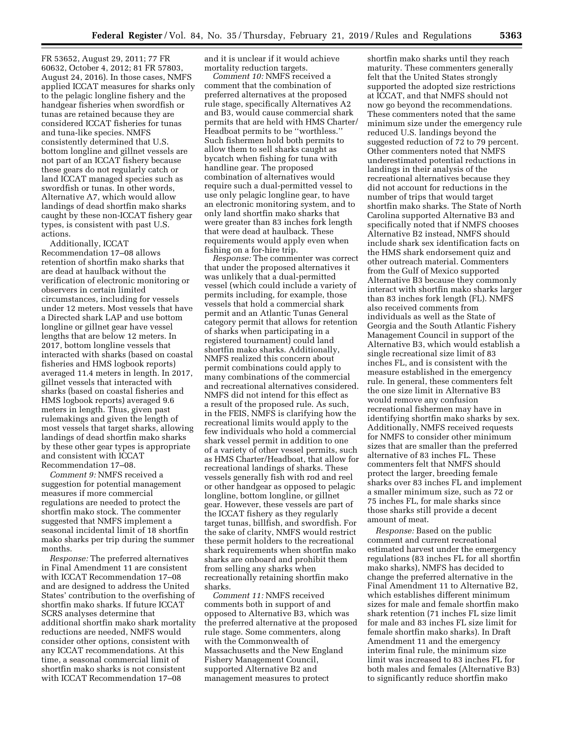FR 53652, August 29, 2011; 77 FR 60632, October 4, 2012; 81 FR 57803, August 24, 2016). In those cases, NMFS applied ICCAT measures for sharks only to the pelagic longline fishery and the handgear fisheries when swordfish or tunas are retained because they are considered ICCAT fisheries for tunas and tuna-like species. NMFS consistently determined that U.S. bottom longline and gillnet vessels are not part of an ICCAT fishery because these gears do not regularly catch or land ICCAT managed species such as swordfish or tunas. In other words, Alternative A7, which would allow landings of dead shortfin mako sharks caught by these non-ICCAT fishery gear types, is consistent with past U.S. actions.

Additionally, ICCAT Recommendation 17–08 allows retention of shortfin mako sharks that are dead at haulback without the verification of electronic monitoring or observers in certain limited circumstances, including for vessels under 12 meters. Most vessels that have a Directed shark LAP and use bottom longline or gillnet gear have vessel lengths that are below 12 meters. In 2017, bottom longline vessels that interacted with sharks (based on coastal fisheries and HMS logbook reports) averaged 11.4 meters in length. In 2017, gillnet vessels that interacted with sharks (based on coastal fisheries and HMS logbook reports) averaged 9.6 meters in length. Thus, given past rulemakings and given the length of most vessels that target sharks, allowing landings of dead shortfin mako sharks by these other gear types is appropriate and consistent with ICCAT Recommendation 17–08.

*Comment 9:* NMFS received a suggestion for potential management measures if more commercial regulations are needed to protect the shortfin mako stock. The commenter suggested that NMFS implement a seasonal incidental limit of 18 shortfin mako sharks per trip during the summer months.

*Response:* The preferred alternatives in Final Amendment 11 are consistent with ICCAT Recommendation 17–08 and are designed to address the United States' contribution to the overfishing of shortfin mako sharks. If future ICCAT SCRS analyses determine that additional shortfin mako shark mortality reductions are needed, NMFS would consider other options, consistent with any ICCAT recommendations. At this time, a seasonal commercial limit of shortfin mako sharks is not consistent with ICCAT Recommendation 17–08

and it is unclear if it would achieve mortality reduction targets.

*Comment 10:* NMFS received a comment that the combination of preferred alternatives at the proposed rule stage, specifically Alternatives A2 and B3, would cause commercial shark permits that are held with HMS Charter/ Headboat permits to be ''worthless.'' Such fishermen hold both permits to allow them to sell sharks caught as bycatch when fishing for tuna with handline gear. The proposed combination of alternatives would require such a dual-permitted vessel to use only pelagic longline gear, to have an electronic monitoring system, and to only land shortfin mako sharks that were greater than 83 inches fork length that were dead at haulback. These requirements would apply even when fishing on a for-hire trip.

*Response:* The commenter was correct that under the proposed alternatives it was unlikely that a dual-permitted vessel (which could include a variety of permits including, for example, those vessels that hold a commercial shark permit and an Atlantic Tunas General category permit that allows for retention of sharks when participating in a registered tournament) could land shortfin mako sharks. Additionally, NMFS realized this concern about permit combinations could apply to many combinations of the commercial and recreational alternatives considered. NMFS did not intend for this effect as a result of the proposed rule. As such, in the FEIS, NMFS is clarifying how the recreational limits would apply to the few individuals who hold a commercial shark vessel permit in addition to one of a variety of other vessel permits, such as HMS Charter/Headboat, that allow for recreational landings of sharks. These vessels generally fish with rod and reel or other handgear as opposed to pelagic longline, bottom longline, or gillnet gear. However, these vessels are part of the ICCAT fishery as they regularly target tunas, billfish, and swordfish. For the sake of clarity, NMFS would restrict these permit holders to the recreational shark requirements when shortfin mako sharks are onboard and prohibit them from selling any sharks when recreationally retaining shortfin mako sharks.

*Comment 11:* NMFS received comments both in support of and opposed to Alternative B3, which was the preferred alternative at the proposed rule stage. Some commenters, along with the Commonwealth of Massachusetts and the New England Fishery Management Council, supported Alternative B2 and management measures to protect

shortfin mako sharks until they reach maturity. These commenters generally felt that the United States strongly supported the adopted size restrictions at ICCAT, and that NMFS should not now go beyond the recommendations. These commenters noted that the same minimum size under the emergency rule reduced U.S. landings beyond the suggested reduction of 72 to 79 percent. Other commenters noted that NMFS underestimated potential reductions in landings in their analysis of the recreational alternatives because they did not account for reductions in the number of trips that would target shortfin mako sharks. The State of North Carolina supported Alternative B3 and specifically noted that if NMFS chooses Alternative B2 instead, NMFS should include shark sex identification facts on the HMS shark endorsement quiz and other outreach material. Commenters from the Gulf of Mexico supported Alternative B3 because they commonly interact with shortfin mako sharks larger than 83 inches fork length (FL). NMFS also received comments from individuals as well as the State of Georgia and the South Atlantic Fishery Management Council in support of the Alternative B3, which would establish a single recreational size limit of 83 inches FL, and is consistent with the measure established in the emergency rule. In general, these commenters felt the one size limit in Alternative B3 would remove any confusion recreational fishermen may have in identifying shortfin mako sharks by sex. Additionally, NMFS received requests for NMFS to consider other minimum sizes that are smaller than the preferred alternative of 83 inches FL. These commenters felt that NMFS should protect the larger, breeding female sharks over 83 inches FL and implement a smaller minimum size, such as 72 or 75 inches FL, for male sharks since those sharks still provide a decent amount of meat.

*Response:* Based on the public comment and current recreational estimated harvest under the emergency regulations (83 inches FL for all shortfin mako sharks), NMFS has decided to change the preferred alternative in the Final Amendment 11 to Alternative B2, which establishes different minimum sizes for male and female shortfin mako shark retention (71 inches FL size limit for male and 83 inches FL size limit for female shortfin mako sharks). In Draft Amendment 11 and the emergency interim final rule, the minimum size limit was increased to 83 inches FL for both males and females (Alternative B3) to significantly reduce shortfin mako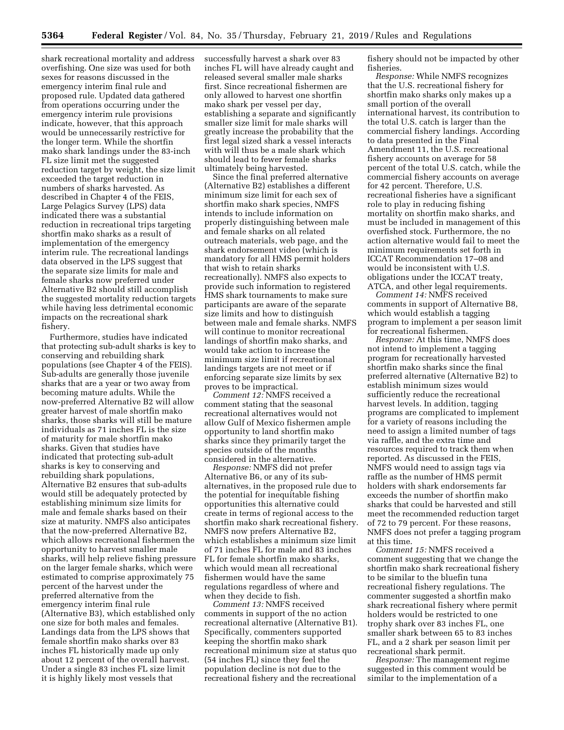shark recreational mortality and address overfishing. One size was used for both sexes for reasons discussed in the emergency interim final rule and proposed rule. Updated data gathered from operations occurring under the emergency interim rule provisions indicate, however, that this approach would be unnecessarily restrictive for the longer term. While the shortfin mako shark landings under the 83-inch FL size limit met the suggested reduction target by weight, the size limit exceeded the target reduction in numbers of sharks harvested. As described in Chapter 4 of the FEIS, Large Pelagics Survey (LPS) data indicated there was a substantial reduction in recreational trips targeting shortfin mako sharks as a result of implementation of the emergency interim rule. The recreational landings data observed in the LPS suggest that the separate size limits for male and female sharks now preferred under Alternative B2 should still accomplish the suggested mortality reduction targets while having less detrimental economic impacts on the recreational shark fishery.

Furthermore, studies have indicated that protecting sub-adult sharks is key to conserving and rebuilding shark populations (see Chapter 4 of the FEIS). Sub-adults are generally those juvenile sharks that are a year or two away from becoming mature adults. While the now-preferred Alternative B2 will allow greater harvest of male shortfin mako sharks, those sharks will still be mature individuals as 71 inches FL is the size of maturity for male shortfin mako sharks. Given that studies have indicated that protecting sub-adult sharks is key to conserving and rebuilding shark populations, Alternative B2 ensures that sub-adults would still be adequately protected by establishing minimum size limits for male and female sharks based on their size at maturity. NMFS also anticipates that the now-preferred Alternative B2, which allows recreational fishermen the opportunity to harvest smaller male sharks, will help relieve fishing pressure on the larger female sharks, which were estimated to comprise approximately 75 percent of the harvest under the preferred alternative from the emergency interim final rule (Alternative B3), which established only one size for both males and females. Landings data from the LPS shows that female shortfin mako sharks over 83 inches FL historically made up only about 12 percent of the overall harvest. Under a single 83 inches FL size limit it is highly likely most vessels that

successfully harvest a shark over 83 inches FL will have already caught and released several smaller male sharks first. Since recreational fishermen are only allowed to harvest one shortfin mako shark per vessel per day, establishing a separate and significantly smaller size limit for male sharks will greatly increase the probability that the first legal sized shark a vessel interacts with will thus be a male shark which should lead to fewer female sharks ultimately being harvested.

Since the final preferred alternative (Alternative B2) establishes a different minimum size limit for each sex of shortfin mako shark species, NMFS intends to include information on properly distinguishing between male and female sharks on all related outreach materials, web page, and the shark endorsement video (which is mandatory for all HMS permit holders that wish to retain sharks recreationally). NMFS also expects to provide such information to registered HMS shark tournaments to make sure participants are aware of the separate size limits and how to distinguish between male and female sharks. NMFS will continue to monitor recreational landings of shortfin mako sharks, and would take action to increase the minimum size limit if recreational landings targets are not meet or if enforcing separate size limits by sex proves to be impractical.

*Comment 12:* NMFS received a comment stating that the seasonal recreational alternatives would not allow Gulf of Mexico fishermen ample opportunity to land shortfin mako sharks since they primarily target the species outside of the months considered in the alternative.

*Response:* NMFS did not prefer Alternative B6, or any of its subalternatives, in the proposed rule due to the potential for inequitable fishing opportunities this alternative could create in terms of regional access to the shortfin mako shark recreational fishery. NMFS now prefers Alternative B2, which establishes a minimum size limit of 71 inches FL for male and 83 inches FL for female shortfin mako sharks, which would mean all recreational fishermen would have the same regulations regardless of where and when they decide to fish.

*Comment 13:* NMFS received comments in support of the no action recreational alternative (Alternative B1). Specifically, commenters supported keeping the shortfin mako shark recreational minimum size at status quo (54 inches FL) since they feel the population decline is not due to the recreational fishery and the recreational

fishery should not be impacted by other fisheries.

*Response:* While NMFS recognizes that the U.S. recreational fishery for shortfin mako sharks only makes up a small portion of the overall international harvest, its contribution to the total U.S. catch is larger than the commercial fishery landings. According to data presented in the Final Amendment 11, the U.S. recreational fishery accounts on average for 58 percent of the total U.S. catch, while the commercial fishery accounts on average for 42 percent. Therefore, U.S. recreational fisheries have a significant role to play in reducing fishing mortality on shortfin mako sharks, and must be included in management of this overfished stock. Furthermore, the no action alternative would fail to meet the minimum requirements set forth in ICCAT Recommendation 17–08 and would be inconsistent with U.S. obligations under the ICCAT treaty, ATCA, and other legal requirements.

*Comment 14:* NMFS received comments in support of Alternative B8, which would establish a tagging program to implement a per season limit for recreational fishermen.

*Response:* At this time, NMFS does not intend to implement a tagging program for recreationally harvested shortfin mako sharks since the final preferred alternative (Alternative B2) to establish minimum sizes would sufficiently reduce the recreational harvest levels. In addition, tagging programs are complicated to implement for a variety of reasons including the need to assign a limited number of tags via raffle, and the extra time and resources required to track them when reported. As discussed in the FEIS, NMFS would need to assign tags via raffle as the number of HMS permit holders with shark endorsements far exceeds the number of shortfin mako sharks that could be harvested and still meet the recommended reduction target of 72 to 79 percent. For these reasons, NMFS does not prefer a tagging program at this time.

*Comment 15:* NMFS received a comment suggesting that we change the shortfin mako shark recreational fishery to be similar to the bluefin tuna recreational fishery regulations. The commenter suggested a shortfin mako shark recreational fishery where permit holders would be restricted to one trophy shark over 83 inches FL, one smaller shark between 65 to 83 inches FL, and a 2 shark per season limit per recreational shark permit.

*Response:* The management regime suggested in this comment would be similar to the implementation of a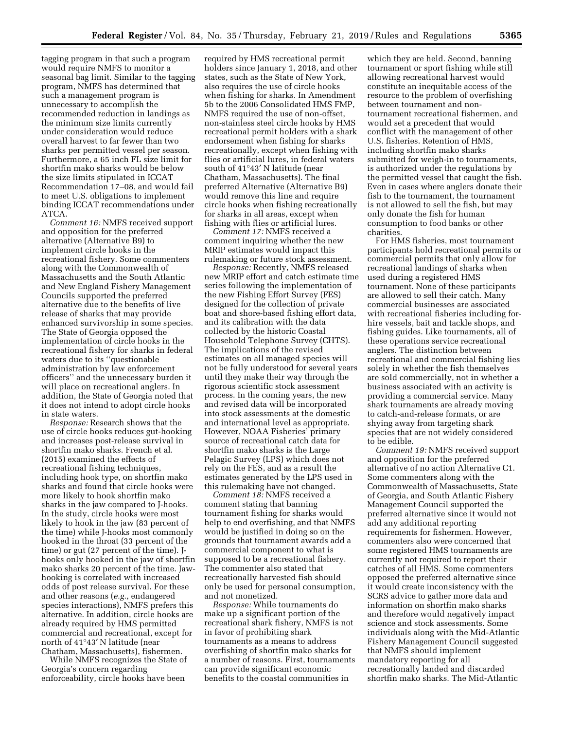tagging program in that such a program would require NMFS to monitor a seasonal bag limit. Similar to the tagging program, NMFS has determined that such a management program is unnecessary to accomplish the recommended reduction in landings as the minimum size limits currently under consideration would reduce overall harvest to far fewer than two sharks per permitted vessel per season. Furthermore, a 65 inch FL size limit for shortfin mako sharks would be below the size limits stipulated in ICCAT Recommendation 17–08, and would fail to meet U.S. obligations to implement binding ICCAT recommendations under ATCA.

*Comment 16:* NMFS received support and opposition for the preferred alternative (Alternative B9) to implement circle hooks in the recreational fishery. Some commenters along with the Commonwealth of Massachusetts and the South Atlantic and New England Fishery Management Councils supported the preferred alternative due to the benefits of live release of sharks that may provide enhanced survivorship in some species. The State of Georgia opposed the implementation of circle hooks in the recreational fishery for sharks in federal waters due to its ''questionable administration by law enforcement officers'' and the unnecessary burden it will place on recreational anglers. In addition, the State of Georgia noted that it does not intend to adopt circle hooks in state waters.

*Response:* Research shows that the use of circle hooks reduces gut-hooking and increases post-release survival in shortfin mako sharks. French et al. (2015) examined the effects of recreational fishing techniques, including hook type, on shortfin mako sharks and found that circle hooks were more likely to hook shortfin mako sharks in the jaw compared to J-hooks. In the study, circle hooks were most likely to hook in the jaw (83 percent of the time) while J-hooks most commonly hooked in the throat (33 percent of the time) or gut (27 percent of the time). Jhooks only hooked in the jaw of shortfin mako sharks 20 percent of the time. Jawhooking is correlated with increased odds of post release survival. For these and other reasons (*e.g.,* endangered species interactions), NMFS prefers this alternative. In addition, circle hooks are already required by HMS permitted commercial and recreational, except for north of 41°43′ N latitude (near Chatham, Massachusetts), fishermen.

While NMFS recognizes the State of Georgia's concern regarding enforceability, circle hooks have been

required by HMS recreational permit holders since January 1, 2018, and other states, such as the State of New York, also requires the use of circle hooks when fishing for sharks. In Amendment 5b to the 2006 Consolidated HMS FMP, NMFS required the use of non-offset, non-stainless steel circle hooks by HMS recreational permit holders with a shark endorsement when fishing for sharks recreationally, except when fishing with flies or artificial lures, in federal waters south of 41°43′ N latitude (near Chatham, Massachusetts). The final preferred Alternative (Alternative B9) would remove this line and require circle hooks when fishing recreationally for sharks in all areas, except when fishing with flies or artificial lures.

*Comment 17:* NMFS received a comment inquiring whether the new MRIP estimates would impact this rulemaking or future stock assessment.

*Response:* Recently, NMFS released new MRIP effort and catch estimate time series following the implementation of the new Fishing Effort Survey (FES) designed for the collection of private boat and shore-based fishing effort data, and its calibration with the data collected by the historic Coastal Household Telephone Survey (CHTS). The implications of the revised estimates on all managed species will not be fully understood for several years until they make their way through the rigorous scientific stock assessment process. In the coming years, the new and revised data will be incorporated into stock assessments at the domestic and international level as appropriate. However, NOAA Fisheries' primary source of recreational catch data for shortfin mako sharks is the Large Pelagic Survey (LPS) which does not rely on the FES, and as a result the estimates generated by the LPS used in this rulemaking have not changed.

*Comment 18:* NMFS received a comment stating that banning tournament fishing for sharks would help to end overfishing, and that NMFS would be justified in doing so on the grounds that tournament awards add a commercial component to what is supposed to be a recreational fishery. The commenter also stated that recreationally harvested fish should only be used for personal consumption, and not monetized.

*Response:* While tournaments do make up a significant portion of the recreational shark fishery, NMFS is not in favor of prohibiting shark tournaments as a means to address overfishing of shortfin mako sharks for a number of reasons. First, tournaments can provide significant economic benefits to the coastal communities in

which they are held. Second, banning tournament or sport fishing while still allowing recreational harvest would constitute an inequitable access of the resource to the problem of overfishing between tournament and nontournament recreational fishermen, and would set a precedent that would conflict with the management of other U.S. fisheries. Retention of HMS, including shortfin mako sharks submitted for weigh-in to tournaments, is authorized under the regulations by the permitted vessel that caught the fish. Even in cases where anglers donate their fish to the tournament, the tournament is not allowed to sell the fish, but may only donate the fish for human consumption to food banks or other charities.

For HMS fisheries, most tournament participants hold recreational permits or commercial permits that only allow for recreational landings of sharks when used during a registered HMS tournament. None of these participants are allowed to sell their catch. Many commercial businesses are associated with recreational fisheries including forhire vessels, bait and tackle shops, and fishing guides. Like tournaments, all of these operations service recreational anglers. The distinction between recreational and commercial fishing lies solely in whether the fish themselves are sold commercially, not in whether a business associated with an activity is providing a commercial service. Many shark tournaments are already moving to catch-and-release formats, or are shying away from targeting shark species that are not widely considered to be edible.

*Comment 19:* NMFS received support and opposition for the preferred alternative of no action Alternative C1. Some commenters along with the Commonwealth of Massachusetts, State of Georgia, and South Atlantic Fishery Management Council supported the preferred alternative since it would not add any additional reporting requirements for fishermen. However, commenters also were concerned that some registered HMS tournaments are currently not required to report their catches of all HMS. Some commenters opposed the preferred alternative since it would create inconsistency with the SCRS advice to gather more data and information on shortfin mako sharks and therefore would negatively impact science and stock assessments. Some individuals along with the Mid-Atlantic Fishery Management Council suggested that NMFS should implement mandatory reporting for all recreationally landed and discarded shortfin mako sharks. The Mid-Atlantic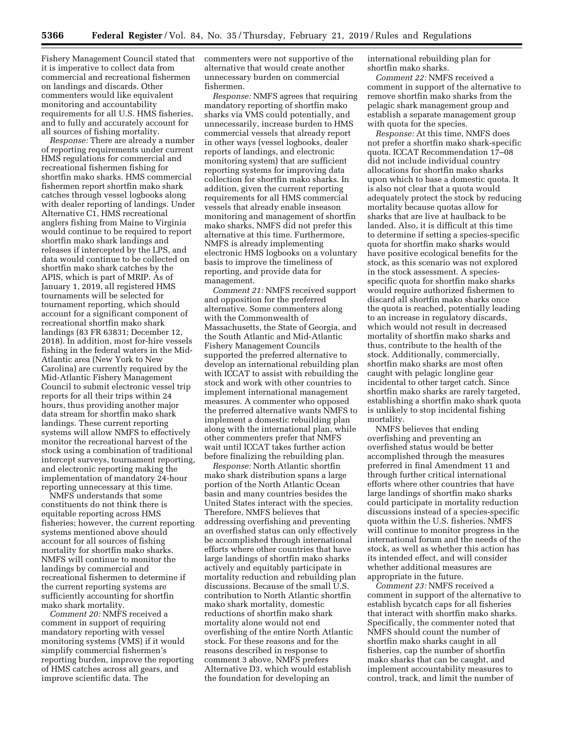Fishery Management Council stated that it is imperative to collect data from commercial and recreational fishermen on landings and discards. Other commenters would like equivalent monitoring and accountability requirements for all U.S. HMS fisheries, and to fully and accurately account for all sources of fishing mortality.

*Response:* There are already a number of reporting requirements under current HMS regulations for commercial and recreational fishermen fishing for shortfin mako sharks. HMS commercial fishermen report shortfin mako shark catches through vessel logbooks along with dealer reporting of landings. Under Alternative C1, HMS recreational anglers fishing from Maine to Virginia would continue to be required to report shortfin mako shark landings and releases if intercepted by the LPS, and data would continue to be collected on shortfin mako shark catches by the APIS, which is part of MRIP. As of January 1, 2019, all registered HMS tournaments will be selected for tournament reporting, which should account for a significant component of recreational shortfin mako shark landings (83 FR 63831; December 12, 2018). In addition, most for-hire vessels fishing in the federal waters in the Mid-Atlantic area (New York to New Carolina) are currently required by the Mid-Atlantic Fishery Management Council to submit electronic vessel trip reports for all their trips within 24 hours, thus providing another major data stream for shortfin mako shark landings. These current reporting systems will allow NMFS to effectively monitor the recreational harvest of the stock using a combination of traditional intercept surveys, tournament reporting, and electronic reporting making the implementation of mandatory 24-hour reporting unnecessary at this time.

NMFS understands that some constituents do not think there is equitable reporting across HMS fisheries; however, the current reporting systems mentioned above should account for all sources of fishing mortality for shortfin mako sharks. NMFS will continue to monitor the landings by commercial and recreational fishermen to determine if the current reporting systems are sufficiently accounting for shortfin mako shark mortality.

*Comment 20:* NMFS received a comment in support of requiring mandatory reporting with vessel monitoring systems (VMS) if it would simplify commercial fishermen's reporting burden, improve the reporting of HMS catches across all gears, and improve scientific data. The

commenters were not supportive of the alternative that would create another unnecessary burden on commercial fishermen.

*Response:* NMFS agrees that requiring mandatory reporting of shortfin mako sharks via VMS could potentially, and unnecessarily, increase burden to HMS commercial vessels that already report in other ways (vessel logbooks, dealer reports of landings, and electronic monitoring system) that are sufficient reporting systems for improving data collection for shortfin mako sharks. In addition, given the current reporting requirements for all HMS commercial vessels that already enable inseason monitoring and management of shortfin mako sharks, NMFS did not prefer this alternative at this time. Furthermore, NMFS is already implementing electronic HMS logbooks on a voluntary basis to improve the timeliness of reporting, and provide data for management.

*Comment 21:* NMFS received support and opposition for the preferred alternative. Some commenters along with the Commonwealth of Massachusetts, the State of Georgia, and the South Atlantic and Mid-Atlantic Fishery Management Councils supported the preferred alternative to develop an international rebuilding plan with ICCAT to assist with rebuilding the stock and work with other countries to implement international management measures. A commenter who opposed the preferred alternative wants NMFS to implement a domestic rebuilding plan along with the international plan, while other commenters prefer that NMFS wait until ICCAT takes further action before finalizing the rebuilding plan.

*Response:* North Atlantic shortfin mako shark distribution spans a large portion of the North Atlantic Ocean basin and many countries besides the United States interact with the species. Therefore, NMFS believes that addressing overfishing and preventing an overfished status can only effectively be accomplished through international efforts where other countries that have large landings of shortfin mako sharks actively and equitably participate in mortality reduction and rebuilding plan discussions. Because of the small U.S. contribution to North Atlantic shortfin mako shark mortality, domestic reductions of shortfin mako shark mortality alone would not end overfishing of the entire North Atlantic stock. For these reasons and for the reasons described in response to comment 3 above, NMFS prefers Alternative D3, which would establish the foundation for developing an

international rebuilding plan for shortfin mako sharks.

*Comment 22:* NMFS received a comment in support of the alternative to remove shortfin mako sharks from the pelagic shark management group and establish a separate management group with quota for the species.

*Response:* At this time, NMFS does not prefer a shortfin mako shark-specific quota. ICCAT Recommendation 17–08 did not include individual country allocations for shortfin mako sharks upon which to base a domestic quota. It is also not clear that a quota would adequately protect the stock by reducing mortality because quotas allow for sharks that are live at haulback to be landed. Also, it is difficult at this time to determine if setting a species-specific quota for shortfin mako sharks would have positive ecological benefits for the stock, as this scenario was not explored in the stock assessment. A speciesspecific quota for shortfin mako sharks would require authorized fishermen to discard all shortfin mako sharks once the quota is reached, potentially leading to an increase in regulatory discards, which would not result in decreased mortality of shortfin mako sharks and thus, contribute to the health of the stock. Additionally, commercially, shortfin mako sharks are most often caught with pelagic longline gear incidental to other target catch. Since shortfin mako sharks are rarely targeted, establishing a shortfin mako shark quota is unlikely to stop incidental fishing mortality.

NMFS believes that ending overfishing and preventing an overfished status would be better accomplished through the measures preferred in final Amendment 11 and through further critical international efforts where other countries that have large landings of shortfin mako sharks could participate in mortality reduction discussions instead of a species-specific quota within the U.S. fisheries. NMFS will continue to monitor progress in the international forum and the needs of the stock, as well as whether this action has its intended effect, and will consider whether additional measures are appropriate in the future.

*Comment 23:* NMFS received a comment in support of the alternative to establish bycatch caps for all fisheries that interact with shortfin mako sharks. Specifically, the commenter noted that NMFS should count the number of shortfin mako sharks caught in all fisheries, cap the number of shortfin mako sharks that can be caught, and implement accountability measures to control, track, and limit the number of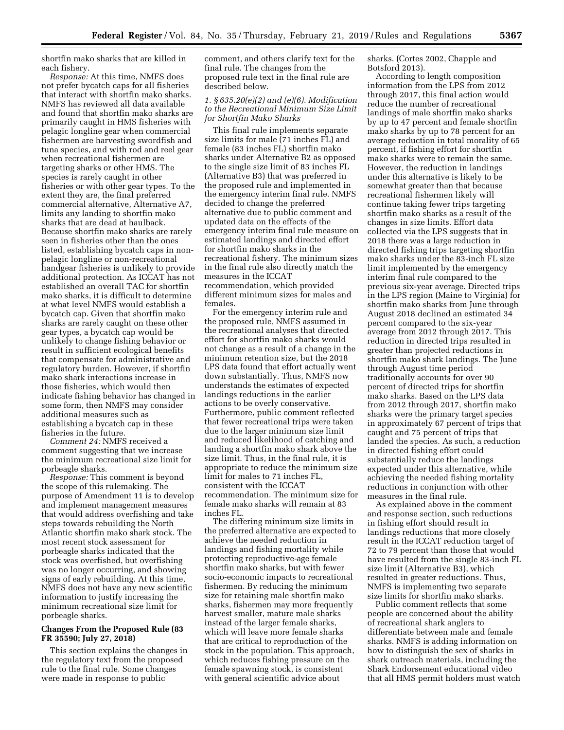shortfin mako sharks that are killed in each fishery.

*Response:* At this time, NMFS does not prefer bycatch caps for all fisheries that interact with shortfin mako sharks. NMFS has reviewed all data available and found that shortfin mako sharks are primarily caught in HMS fisheries with pelagic longline gear when commercial fishermen are harvesting swordfish and tuna species, and with rod and reel gear when recreational fishermen are targeting sharks or other HMS. The species is rarely caught in other fisheries or with other gear types. To the extent they are, the final preferred commercial alternative, Alternative A7, limits any landing to shortfin mako sharks that are dead at haulback. Because shortfin mako sharks are rarely seen in fisheries other than the ones listed, establishing bycatch caps in nonpelagic longline or non-recreational handgear fisheries is unlikely to provide additional protection. As ICCAT has not established an overall TAC for shortfin mako sharks, it is difficult to determine at what level NMFS would establish a bycatch cap. Given that shortfin mako sharks are rarely caught on these other gear types, a bycatch cap would be unlikely to change fishing behavior or result in sufficient ecological benefits that compensate for administrative and regulatory burden. However, if shortfin mako shark interactions increase in those fisheries, which would then indicate fishing behavior has changed in some form, then NMFS may consider additional measures such as establishing a bycatch cap in these fisheries in the future.

*Comment 24:* NMFS received a comment suggesting that we increase the minimum recreational size limit for porbeagle sharks.

*Response:* This comment is beyond the scope of this rulemaking. The purpose of Amendment 11 is to develop and implement management measures that would address overfishing and take steps towards rebuilding the North Atlantic shortfin mako shark stock. The most recent stock assessment for porbeagle sharks indicated that the stock was overfished, but overfishing was no longer occurring, and showing signs of early rebuilding. At this time, NMFS does not have any new scientific information to justify increasing the minimum recreational size limit for porbeagle sharks.

# **Changes From the Proposed Rule (83 FR 35590; July 27, 2018)**

This section explains the changes in the regulatory text from the proposed rule to the final rule. Some changes were made in response to public

comment, and others clarify text for the final rule. The changes from the proposed rule text in the final rule are described below.

## *1. § 635.20(e)(2) and (e)(6). Modification to the Recreational Minimum Size Limit for Shortfin Mako Sharks*

This final rule implements separate size limits for male (71 inches FL) and female (83 inches FL) shortfin mako sharks under Alternative B2 as opposed to the single size limit of 83 inches FL (Alternative B3) that was preferred in the proposed rule and implemented in the emergency interim final rule. NMFS decided to change the preferred alternative due to public comment and updated data on the effects of the emergency interim final rule measure on estimated landings and directed effort for shortfin mako sharks in the recreational fishery. The minimum sizes in the final rule also directly match the measures in the ICCAT recommendation, which provided different minimum sizes for males and females.

For the emergency interim rule and the proposed rule, NMFS assumed in the recreational analyses that directed effort for shortfin mako sharks would not change as a result of a change in the minimum retention size, but the 2018 LPS data found that effort actually went down substantially. Thus, NMFS now understands the estimates of expected landings reductions in the earlier actions to be overly conservative. Furthermore, public comment reflected that fewer recreational trips were taken due to the larger minimum size limit and reduced likelihood of catching and landing a shortfin mako shark above the size limit. Thus, in the final rule, it is appropriate to reduce the minimum size limit for males to 71 inches FL, consistent with the ICCAT recommendation. The minimum size for female mako sharks will remain at 83 inches FL.

The differing minimum size limits in the preferred alternative are expected to achieve the needed reduction in landings and fishing mortality while protecting reproductive-age female shortfin mako sharks, but with fewer socio-economic impacts to recreational fishermen. By reducing the minimum size for retaining male shortfin mako sharks, fishermen may more frequently harvest smaller, mature male sharks instead of the larger female sharks, which will leave more female sharks that are critical to reproduction of the stock in the population. This approach, which reduces fishing pressure on the female spawning stock, is consistent with general scientific advice about

sharks. (Cortes 2002, Chapple and Botsford 2013).

According to length composition information from the LPS from 2012 through 2017, this final action would reduce the number of recreational landings of male shortfin mako sharks by up to 47 percent and female shortfin mako sharks by up to 78 percent for an average reduction in total morality of 65 percent, if fishing effort for shortfin mako sharks were to remain the same. However, the reduction in landings under this alternative is likely to be somewhat greater than that because recreational fishermen likely will continue taking fewer trips targeting shortfin mako sharks as a result of the changes in size limits. Effort data collected via the LPS suggests that in 2018 there was a large reduction in directed fishing trips targeting shortfin mako sharks under the 83-inch FL size limit implemented by the emergency interim final rule compared to the previous six-year average. Directed trips in the LPS region (Maine to Virginia) for shortfin mako sharks from June through August 2018 declined an estimated 34 percent compared to the six-year average from 2012 through 2017. This reduction in directed trips resulted in greater than projected reductions in shortfin mako shark landings. The June through August time period traditionally accounts for over 90 percent of directed trips for shortfin mako sharks. Based on the LPS data from 2012 through 2017, shortfin mako sharks were the primary target species in approximately 67 percent of trips that caught and 75 percent of trips that landed the species. As such, a reduction in directed fishing effort could substantially reduce the landings expected under this alternative, while achieving the needed fishing mortality reductions in conjunction with other measures in the final rule.

As explained above in the comment and response section, such reductions in fishing effort should result in landings reductions that more closely result in the ICCAT reduction target of 72 to 79 percent than those that would have resulted from the single 83-inch FL size limit (Alternative B3), which resulted in greater reductions. Thus, NMFS is implementing two separate size limits for shortfin mako sharks.

Public comment reflects that some people are concerned about the ability of recreational shark anglers to differentiate between male and female sharks. NMFS is adding information on how to distinguish the sex of sharks in shark outreach materials, including the Shark Endorsement educational video that all HMS permit holders must watch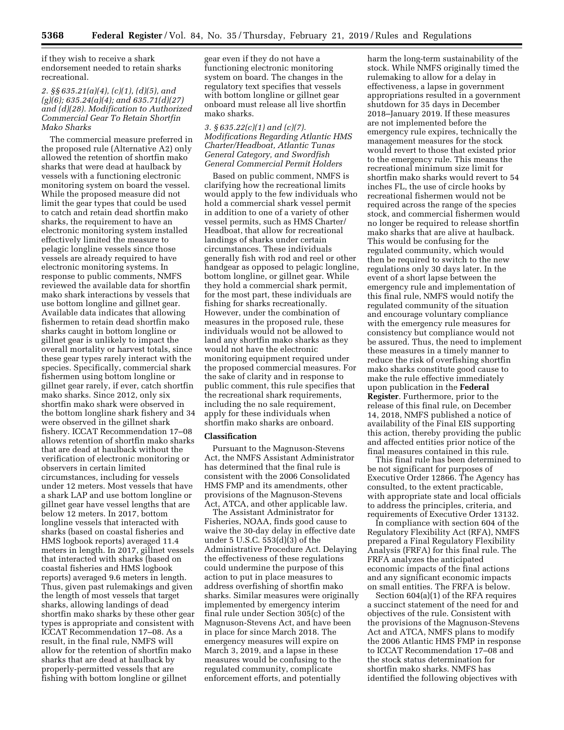if they wish to receive a shark endorsement needed to retain sharks recreational.

## *2. §§ 635.21(a)(4), (c)(1), (d)(5), and (g)(6); 635.24(a)(4); and 635.71(d)(27) and (d)(28). Modification to Authorized Commercial Gear To Retain Shortfin Mako Sharks*

The commercial measure preferred in the proposed rule (Alternative A2) only allowed the retention of shortfin mako sharks that were dead at haulback by vessels with a functioning electronic monitoring system on board the vessel. While the proposed measure did not limit the gear types that could be used to catch and retain dead shortfin mako sharks, the requirement to have an electronic monitoring system installed effectively limited the measure to pelagic longline vessels since those vessels are already required to have electronic monitoring systems. In response to public comments, NMFS reviewed the available data for shortfin mako shark interactions by vessels that use bottom longline and gillnet gear. Available data indicates that allowing fishermen to retain dead shortfin mako sharks caught in bottom longline or gillnet gear is unlikely to impact the overall mortality or harvest totals, since these gear types rarely interact with the species. Specifically, commercial shark fishermen using bottom longline or gillnet gear rarely, if ever, catch shortfin mako sharks. Since 2012, only six shortfin mako shark were observed in the bottom longline shark fishery and 34 were observed in the gillnet shark fishery. ICCAT Recommendation 17–08 allows retention of shortfin mako sharks that are dead at haulback without the verification of electronic monitoring or observers in certain limited circumstances, including for vessels under 12 meters. Most vessels that have a shark LAP and use bottom longline or gillnet gear have vessel lengths that are below 12 meters. In 2017, bottom longline vessels that interacted with sharks (based on coastal fisheries and HMS logbook reports) averaged 11.4 meters in length. In 2017, gillnet vessels that interacted with sharks (based on coastal fisheries and HMS logbook reports) averaged 9.6 meters in length. Thus, given past rulemakings and given the length of most vessels that target sharks, allowing landings of dead shortfin mako sharks by these other gear types is appropriate and consistent with ICCAT Recommendation 17–08. As a result, in the final rule, NMFS will allow for the retention of shortfin mako sharks that are dead at haulback by properly-permitted vessels that are fishing with bottom longline or gillnet

gear even if they do not have a functioning electronic monitoring system on board. The changes in the regulatory text specifies that vessels with bottom longline or gillnet gear onboard must release all live shortfin mako sharks.

*3. § 635.22(c)(1) and (c)(7). Modifications Regarding Atlantic HMS Charter/Headboat, Atlantic Tunas General Category, and Swordfish General Commercial Permit Holders* 

Based on public comment, NMFS is clarifying how the recreational limits would apply to the few individuals who hold a commercial shark vessel permit in addition to one of a variety of other vessel permits, such as HMS Charter/ Headboat, that allow for recreational landings of sharks under certain circumstances. These individuals generally fish with rod and reel or other handgear as opposed to pelagic longline, bottom longline, or gillnet gear. While they hold a commercial shark permit, for the most part, these individuals are fishing for sharks recreationally. However, under the combination of measures in the proposed rule, these individuals would not be allowed to land any shortfin mako sharks as they would not have the electronic monitoring equipment required under the proposed commercial measures. For the sake of clarity and in response to public comment, this rule specifies that the recreational shark requirements, including the no sale requirement, apply for these individuals when shortfin mako sharks are onboard.

# **Classification**

Pursuant to the Magnuson-Stevens Act, the NMFS Assistant Administrator has determined that the final rule is consistent with the 2006 Consolidated HMS FMP and its amendments, other provisions of the Magnuson-Stevens Act, ATCA, and other applicable law.

The Assistant Administrator for Fisheries, NOAA, finds good cause to waive the 30-day delay in effective date under 5 U.S.C. 553(d)(3) of the Administrative Procedure Act. Delaying the effectiveness of these regulations could undermine the purpose of this action to put in place measures to address overfishing of shortfin mako sharks. Similar measures were originally implemented by emergency interim final rule under Section 305(c) of the Magnuson-Stevens Act, and have been in place for since March 2018. The emergency measures will expire on March 3, 2019, and a lapse in these measures would be confusing to the regulated community, complicate enforcement efforts, and potentially

harm the long-term sustainability of the stock. While NMFS originally timed the rulemaking to allow for a delay in effectiveness, a lapse in government appropriations resulted in a government shutdown for 35 days in December 2018–January 2019. If these measures are not implemented before the emergency rule expires, technically the management measures for the stock would revert to those that existed prior to the emergency rule. This means the recreational minimum size limit for shortfin mako sharks would revert to 54 inches FL, the use of circle hooks by recreational fishermen would not be required across the range of the species stock, and commercial fishermen would no longer be required to release shortfin mako sharks that are alive at haulback. This would be confusing for the regulated community, which would then be required to switch to the new regulations only 30 days later. In the event of a short lapse between the emergency rule and implementation of this final rule, NMFS would notify the regulated community of the situation and encourage voluntary compliance with the emergency rule measures for consistency but compliance would not be assured. Thus, the need to implement these measures in a timely manner to reduce the risk of overfishing shortfin mako sharks constitute good cause to make the rule effective immediately upon publication in the **Federal Register**. Furthermore, prior to the release of this final rule, on December 14, 2018, NMFS published a notice of availability of the Final EIS supporting this action, thereby providing the public and affected entities prior notice of the final measures contained in this rule.

This final rule has been determined to be not significant for purposes of Executive Order 12866. The Agency has consulted, to the extent practicable, with appropriate state and local officials to address the principles, criteria, and requirements of Executive Order 13132.

In compliance with section 604 of the Regulatory Flexibility Act (RFA), NMFS prepared a Final Regulatory Flexibility Analysis (FRFA) for this final rule. The FRFA analyzes the anticipated economic impacts of the final actions and any significant economic impacts on small entities. The FRFA is below.

Section 604(a)(1) of the RFA requires a succinct statement of the need for and objectives of the rule. Consistent with the provisions of the Magnuson-Stevens Act and ATCA, NMFS plans to modify the 2006 Atlantic HMS FMP in response to ICCAT Recommendation 17–08 and the stock status determination for shortfin mako sharks. NMFS has identified the following objectives with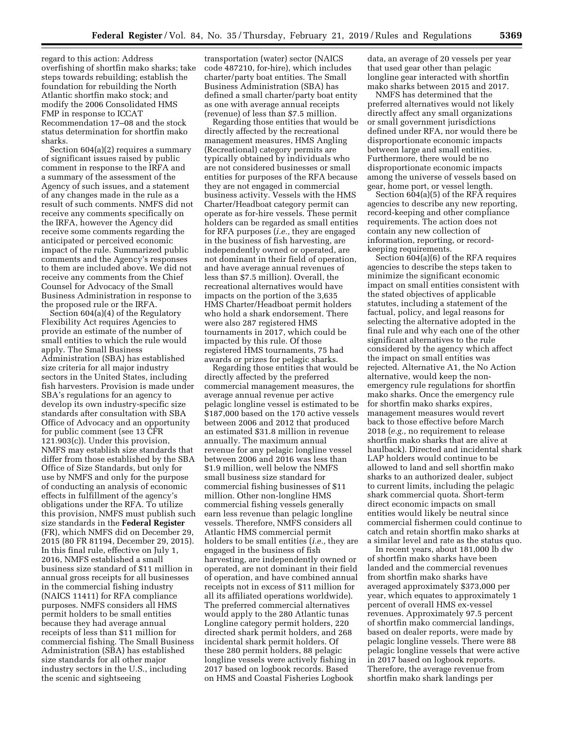regard to this action: Address overfishing of shortfin mako sharks; take steps towards rebuilding; establish the foundation for rebuilding the North Atlantic shortfin mako stock; and modify the 2006 Consolidated HMS FMP in response to ICCAT Recommendation 17–08 and the stock status determination for shortfin mako sharks.

Section 604(a)(2) requires a summary of significant issues raised by public comment in response to the IRFA and a summary of the assessment of the Agency of such issues, and a statement of any changes made in the rule as a result of such comments. NMFS did not receive any comments specifically on the IRFA, however the Agency did receive some comments regarding the anticipated or perceived economic impact of the rule. Summarized public comments and the Agency's responses to them are included above. We did not receive any comments from the Chief Counsel for Advocacy of the Small Business Administration in response to the proposed rule or the IRFA.

Section 604(a)(4) of the Regulatory Flexibility Act requires Agencies to provide an estimate of the number of small entities to which the rule would apply. The Small Business Administration (SBA) has established size criteria for all major industry sectors in the United States, including fish harvesters. Provision is made under SBA's regulations for an agency to develop its own industry-specific size standards after consultation with SBA Office of Advocacy and an opportunity for public comment (see 13 CFR 121.903(c)). Under this provision, NMFS may establish size standards that differ from those established by the SBA Office of Size Standards, but only for use by NMFS and only for the purpose of conducting an analysis of economic effects in fulfillment of the agency's obligations under the RFA. To utilize this provision, NMFS must publish such size standards in the **Federal Register**  (FR), which NMFS did on December 29, 2015 (80 FR 81194, December 29, 2015). In this final rule, effective on July 1, 2016, NMFS established a small business size standard of \$11 million in annual gross receipts for all businesses in the commercial fishing industry (NAICS 11411) for RFA compliance purposes. NMFS considers all HMS permit holders to be small entities because they had average annual receipts of less than \$11 million for commercial fishing. The Small Business Administration (SBA) has established size standards for all other major industry sectors in the U.S., including the scenic and sightseeing

transportation (water) sector (NAICS code 487210, for-hire), which includes charter/party boat entities. The Small Business Administration (SBA) has defined a small charter/party boat entity as one with average annual receipts (revenue) of less than \$7.5 million.

Regarding those entities that would be directly affected by the recreational management measures, HMS Angling (Recreational) category permits are typically obtained by individuals who are not considered businesses or small entities for purposes of the RFA because they are not engaged in commercial business activity. Vessels with the HMS Charter/Headboat category permit can operate as for-hire vessels. These permit holders can be regarded as small entities for RFA purposes (*i.e.,* they are engaged in the business of fish harvesting, are independently owned or operated, are not dominant in their field of operation, and have average annual revenues of less than \$7.5 million). Overall, the recreational alternatives would have impacts on the portion of the 3,635 HMS Charter/Headboat permit holders who hold a shark endorsement. There were also 287 registered HMS tournaments in 2017, which could be impacted by this rule. Of those registered HMS tournaments, 75 had awards or prizes for pelagic sharks.

Regarding those entities that would be directly affected by the preferred commercial management measures, the average annual revenue per active pelagic longline vessel is estimated to be \$187,000 based on the 170 active vessels between 2006 and 2012 that produced an estimated \$31.8 million in revenue annually. The maximum annual revenue for any pelagic longline vessel between 2006 and 2016 was less than \$1.9 million, well below the NMFS small business size standard for commercial fishing businesses of \$11 million. Other non-longline HMS commercial fishing vessels generally earn less revenue than pelagic longline vessels. Therefore, NMFS considers all Atlantic HMS commercial permit holders to be small entities (*i.e.,* they are engaged in the business of fish harvesting, are independently owned or operated, are not dominant in their field of operation, and have combined annual receipts not in excess of \$11 million for all its affiliated operations worldwide). The preferred commercial alternatives would apply to the 280 Atlantic tunas Longline category permit holders, 220 directed shark permit holders, and 268 incidental shark permit holders. Of these 280 permit holders, 88 pelagic longline vessels were actively fishing in 2017 based on logbook records. Based on HMS and Coastal Fisheries Logbook

data, an average of 20 vessels per year that used gear other than pelagic longline gear interacted with shortfin mako sharks between 2015 and 2017.

NMFS has determined that the preferred alternatives would not likely directly affect any small organizations or small government jurisdictions defined under RFA, nor would there be disproportionate economic impacts between large and small entities. Furthermore, there would be no disproportionate economic impacts among the universe of vessels based on gear, home port, or vessel length.

Section 604(a)(5) of the RFA requires agencies to describe any new reporting, record-keeping and other compliance requirements. The action does not contain any new collection of information, reporting, or recordkeeping requirements.

Section 604(a)(6) of the RFA requires agencies to describe the steps taken to minimize the significant economic impact on small entities consistent with the stated objectives of applicable statutes, including a statement of the factual, policy, and legal reasons for selecting the alternative adopted in the final rule and why each one of the other significant alternatives to the rule considered by the agency which affect the impact on small entities was rejected. Alternative A1, the No Action alternative, would keep the nonemergency rule regulations for shortfin mako sharks. Once the emergency rule for shortfin mako sharks expires, management measures would revert back to those effective before March 2018 (*e.g.,* no requirement to release shortfin mako sharks that are alive at haulback). Directed and incidental shark LAP holders would continue to be allowed to land and sell shortfin mako sharks to an authorized dealer, subject to current limits, including the pelagic shark commercial quota. Short-term direct economic impacts on small entities would likely be neutral since commercial fishermen could continue to catch and retain shortfin mako sharks at a similar level and rate as the status quo.

In recent years, about 181,000 lb dw of shortfin mako sharks have been landed and the commercial revenues from shortfin mako sharks have averaged approximately \$373,000 per year, which equates to approximately 1 percent of overall HMS ex-vessel revenues. Approximately 97.5 percent of shortfin mako commercial landings, based on dealer reports, were made by pelagic longline vessels. There were 88 pelagic longline vessels that were active in 2017 based on logbook reports. Therefore, the average revenue from shortfin mako shark landings per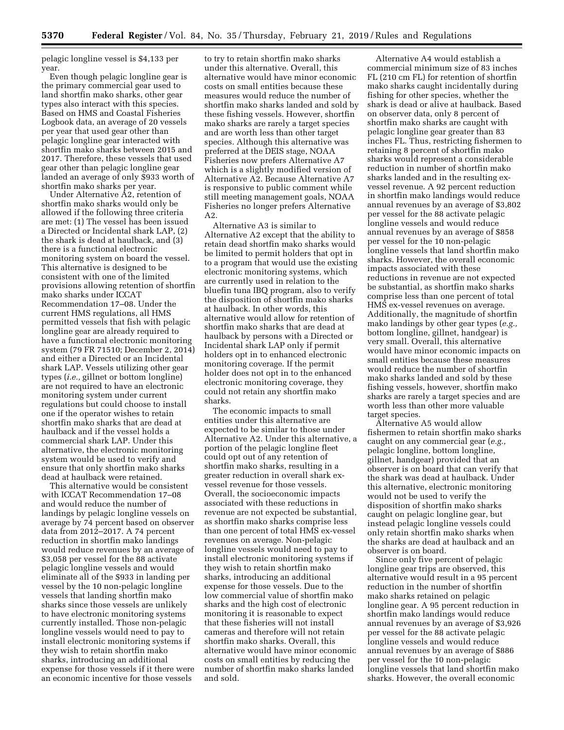pelagic longline vessel is \$4,133 per year.

Even though pelagic longline gear is the primary commercial gear used to land shortfin mako sharks, other gear types also interact with this species. Based on HMS and Coastal Fisheries Logbook data, an average of 20 vessels per year that used gear other than pelagic longline gear interacted with shortfin mako sharks between 2015 and 2017. Therefore, these vessels that used gear other than pelagic longline gear landed an average of only \$933 worth of shortfin mako sharks per year.

Under Alternative A2, retention of shortfin mako sharks would only be allowed if the following three criteria are met: (1) The vessel has been issued a Directed or Incidental shark LAP, (2) the shark is dead at haulback, and (3) there is a functional electronic monitoring system on board the vessel. This alternative is designed to be consistent with one of the limited provisions allowing retention of shortfin mako sharks under ICCAT Recommendation 17–08. Under the current HMS regulations, all HMS permitted vessels that fish with pelagic longline gear are already required to have a functional electronic monitoring system (79 FR 71510; December 2, 2014) and either a Directed or an Incidental shark LAP. Vessels utilizing other gear types (*i.e.,* gillnet or bottom longline) are not required to have an electronic monitoring system under current regulations but could choose to install one if the operator wishes to retain shortfin mako sharks that are dead at haulback and if the vessel holds a commercial shark LAP. Under this alternative, the electronic monitoring system would be used to verify and ensure that only shortfin mako sharks dead at haulback were retained.

This alternative would be consistent with ICCAT Recommendation 17–08 and would reduce the number of landings by pelagic longline vessels on average by 74 percent based on observer data from 2012–2017. A 74 percent reduction in shortfin mako landings would reduce revenues by an average of \$3,058 per vessel for the 88 activate pelagic longline vessels and would eliminate all of the \$933 in landing per vessel by the 10 non-pelagic longline vessels that landing shortfin mako sharks since those vessels are unlikely to have electronic monitoring systems currently installed. Those non-pelagic longline vessels would need to pay to install electronic monitoring systems if they wish to retain shortfin mako sharks, introducing an additional expense for those vessels if it there were an economic incentive for those vessels

to try to retain shortfin mako sharks under this alternative. Overall, this alternative would have minor economic costs on small entities because these measures would reduce the number of shortfin mako sharks landed and sold by these fishing vessels. However, shortfin mako sharks are rarely a target species and are worth less than other target species. Although this alternative was preferred at the DEIS stage, NOAA Fisheries now prefers Alternative A7 which is a slightly modified version of Alternative A2. Because Alternative A7 is responsive to public comment while still meeting management goals, NOAA Fisheries no longer prefers Alternative A2.

Alternative A3 is similar to Alternative A2 except that the ability to retain dead shortfin mako sharks would be limited to permit holders that opt in to a program that would use the existing electronic monitoring systems, which are currently used in relation to the bluefin tuna IBQ program, also to verify the disposition of shortfin mako sharks at haulback. In other words, this alternative would allow for retention of shortfin mako sharks that are dead at haulback by persons with a Directed or Incidental shark LAP only if permit holders opt in to enhanced electronic monitoring coverage. If the permit holder does not opt in to the enhanced electronic monitoring coverage, they could not retain any shortfin mako sharks.

The economic impacts to small entities under this alternative are expected to be similar to those under Alternative A2. Under this alternative, a portion of the pelagic longline fleet could opt out of any retention of shortfin mako sharks, resulting in a greater reduction in overall shark exvessel revenue for those vessels. Overall, the socioeconomic impacts associated with these reductions in revenue are not expected be substantial, as shortfin mako sharks comprise less than one percent of total HMS ex-vessel revenues on average. Non-pelagic longline vessels would need to pay to install electronic monitoring systems if they wish to retain shortfin mako sharks, introducing an additional expense for those vessels. Due to the low commercial value of shortfin mako sharks and the high cost of electronic monitoring it is reasonable to expect that these fisheries will not install cameras and therefore will not retain shortfin mako sharks. Overall, this alternative would have minor economic costs on small entities by reducing the number of shortfin mako sharks landed and sold.

Alternative A4 would establish a commercial minimum size of 83 inches FL (210 cm FL) for retention of shortfin mako sharks caught incidentally during fishing for other species, whether the shark is dead or alive at haulback. Based on observer data, only 8 percent of shortfin mako sharks are caught with pelagic longline gear greater than 83 inches FL. Thus, restricting fishermen to retaining 8 percent of shortfin mako sharks would represent a considerable reduction in number of shortfin mako sharks landed and in the resulting exvessel revenue. A 92 percent reduction in shortfin mako landings would reduce annual revenues by an average of \$3,802 per vessel for the 88 activate pelagic longline vessels and would reduce annual revenues by an average of \$858 per vessel for the 10 non-pelagic longline vessels that land shortfin mako sharks. However, the overall economic impacts associated with these reductions in revenue are not expected be substantial, as shortfin mako sharks comprise less than one percent of total HMS ex-vessel revenues on average. Additionally, the magnitude of shortfin mako landings by other gear types (*e.g.,*  bottom longline, gillnet, handgear) is very small. Overall, this alternative would have minor economic impacts on small entities because these measures would reduce the number of shortfin mako sharks landed and sold by these fishing vessels, however, shortfin mako sharks are rarely a target species and are worth less than other more valuable target species.

Alternative A5 would allow fishermen to retain shortfin mako sharks caught on any commercial gear (*e.g.,*  pelagic longline, bottom longline, gillnet, handgear) provided that an observer is on board that can verify that the shark was dead at haulback. Under this alternative, electronic monitoring would not be used to verify the disposition of shortfin mako sharks caught on pelagic longline gear, but instead pelagic longline vessels could only retain shortfin mako sharks when the sharks are dead at haulback and an observer is on board.

Since only five percent of pelagic longline gear trips are observed, this alternative would result in a 95 percent reduction in the number of shortfin mako sharks retained on pelagic longline gear. A 95 percent reduction in shortfin mako landings would reduce annual revenues by an average of \$3,926 per vessel for the 88 activate pelagic longline vessels and would reduce annual revenues by an average of \$886 per vessel for the 10 non-pelagic longline vessels that land shortfin mako sharks. However, the overall economic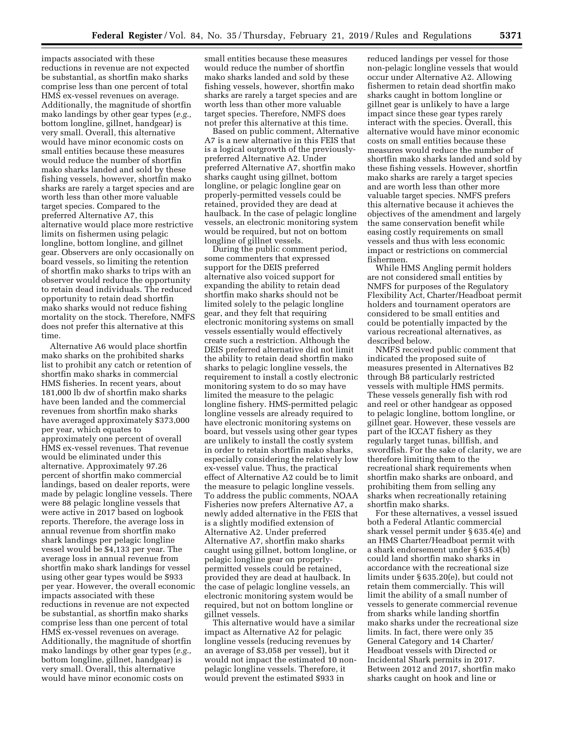impacts associated with these reductions in revenue are not expected be substantial, as shortfin mako sharks comprise less than one percent of total HMS ex-vessel revenues on average. Additionally, the magnitude of shortfin mako landings by other gear types (*e.g.,*  bottom longline, gillnet, handgear) is very small. Overall, this alternative would have minor economic costs on small entities because these measures would reduce the number of shortfin mako sharks landed and sold by these fishing vessels, however, shortfin mako sharks are rarely a target species and are worth less than other more valuable target species. Compared to the preferred Alternative A7, this alternative would place more restrictive limits on fishermen using pelagic longline, bottom longline, and gillnet gear. Observers are only occasionally on board vessels, so limiting the retention of shortfin mako sharks to trips with an observer would reduce the opportunity to retain dead individuals. The reduced opportunity to retain dead shortfin mako sharks would not reduce fishing mortality on the stock. Therefore, NMFS does not prefer this alternative at this time.

Alternative A6 would place shortfin mako sharks on the prohibited sharks list to prohibit any catch or retention of shortfin mako sharks in commercial HMS fisheries. In recent years, about 181,000 lb dw of shortfin mako sharks have been landed and the commercial revenues from shortfin mako sharks have averaged approximately \$373,000 per year, which equates to approximately one percent of overall HMS ex-vessel revenues. That revenue would be eliminated under this alternative. Approximately 97.26 percent of shortfin mako commercial landings, based on dealer reports, were made by pelagic longline vessels. There were 88 pelagic longline vessels that were active in 2017 based on logbook reports. Therefore, the average loss in annual revenue from shortfin mako shark landings per pelagic longline vessel would be \$4,133 per year. The average loss in annual revenue from shortfin mako shark landings for vessel using other gear types would be \$933 per year. However, the overall economic impacts associated with these reductions in revenue are not expected be substantial, as shortfin mako sharks comprise less than one percent of total HMS ex-vessel revenues on average. Additionally, the magnitude of shortfin mako landings by other gear types (*e.g.,*  bottom longline, gillnet, handgear) is very small. Overall, this alternative would have minor economic costs on

small entities because these measures would reduce the number of shortfin mako sharks landed and sold by these fishing vessels, however, shortfin mako sharks are rarely a target species and are worth less than other more valuable target species. Therefore, NMFS does not prefer this alternative at this time.

Based on public comment, Alternative A7 is a new alternative in this FEIS that is a logical outgrowth of the previouslypreferred Alternative A2. Under preferred Alternative A7, shortfin mako sharks caught using gillnet, bottom longline, or pelagic longline gear on properly-permitted vessels could be retained, provided they are dead at haulback. In the case of pelagic longline vessels, an electronic monitoring system would be required, but not on bottom longline of gillnet vessels.

During the public comment period, some commenters that expressed support for the DEIS preferred alternative also voiced support for expanding the ability to retain dead shortfin mako sharks should not be limited solely to the pelagic longline gear, and they felt that requiring electronic monitoring systems on small vessels essentially would effectively create such a restriction. Although the DEIS preferred alternative did not limit the ability to retain dead shortfin mako sharks to pelagic longline vessels, the requirement to install a costly electronic monitoring system to do so may have limited the measure to the pelagic longline fishery. HMS-permitted pelagic longline vessels are already required to have electronic monitoring systems on board, but vessels using other gear types are unlikely to install the costly system in order to retain shortfin mako sharks, especially considering the relatively low ex-vessel value. Thus, the practical effect of Alternative A2 could be to limit the measure to pelagic longline vessels. To address the public comments, NOAA Fisheries now prefers Alternative A7, a newly added alternative in the FEIS that is a slightly modified extension of Alternative A2. Under preferred Alternative A7, shortfin mako sharks caught using gillnet, bottom longline, or pelagic longline gear on properlypermitted vessels could be retained, provided they are dead at haulback. In the case of pelagic longline vessels, an electronic monitoring system would be required, but not on bottom longline or gillnet vessels.

This alternative would have a similar impact as Alternative A2 for pelagic longline vessels (reducing revenues by an average of \$3,058 per vessel), but it would not impact the estimated 10 nonpelagic longline vessels. Therefore, it would prevent the estimated \$933 in

reduced landings per vessel for those non-pelagic longline vessels that would occur under Alternative A2. Allowing fishermen to retain dead shortfin mako sharks caught in bottom longline or gillnet gear is unlikely to have a large impact since these gear types rarely interact with the species. Overall, this alternative would have minor economic costs on small entities because these measures would reduce the number of shortfin mako sharks landed and sold by these fishing vessels. However, shortfin mako sharks are rarely a target species and are worth less than other more valuable target species. NMFS prefers this alternative because it achieves the objectives of the amendment and largely the same conservation benefit while easing costly requirements on small vessels and thus with less economic impact or restrictions on commercial fishermen.

While HMS Angling permit holders are not considered small entities by NMFS for purposes of the Regulatory Flexibility Act, Charter/Headboat permit holders and tournament operators are considered to be small entities and could be potentially impacted by the various recreational alternatives, as described below.

NMFS received public comment that indicated the proposed suite of measures presented in Alternatives B2 through B8 particularly restricted vessels with multiple HMS permits. These vessels generally fish with rod and reel or other handgear as opposed to pelagic longline, bottom longline, or gillnet gear. However, these vessels are part of the ICCAT fishery as they regularly target tunas, billfish, and swordfish. For the sake of clarity, we are therefore limiting them to the recreational shark requirements when shortfin mako sharks are onboard, and prohibiting them from selling any sharks when recreationally retaining shortfin mako sharks.

For these alternatives, a vessel issued both a Federal Atlantic commercial shark vessel permit under § 635.4(e) and an HMS Charter/Headboat permit with a shark endorsement under § 635.4(b) could land shortfin mako sharks in accordance with the recreational size limits under § 635.20(e), but could not retain them commercially. This will limit the ability of a small number of vessels to generate commercial revenue from sharks while landing shortfin mako sharks under the recreational size limits. In fact, there were only 35 General Category and 14 Charter/ Headboat vessels with Directed or Incidental Shark permits in 2017. Between 2012 and 2017, shortfin mako sharks caught on hook and line or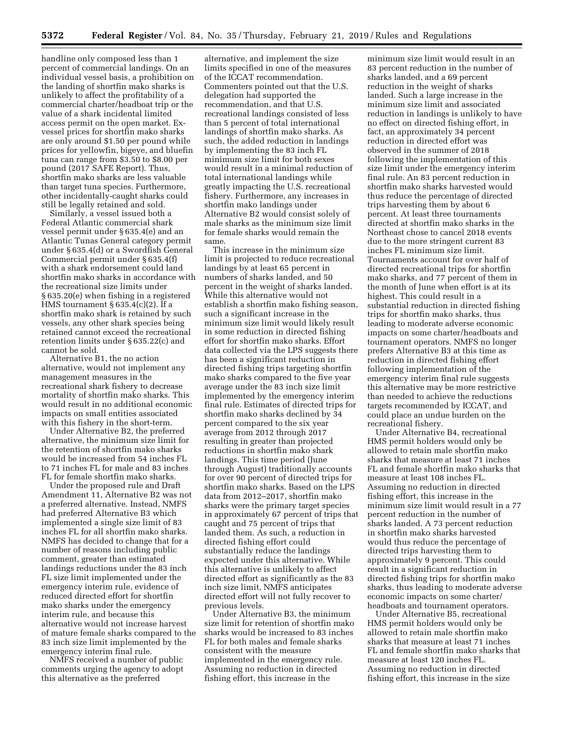handline only composed less than 1 percent of commercial landings. On an individual vessel basis, a prohibition on the landing of shortfin mako sharks is unlikely to affect the profitability of a commercial charter/headboat trip or the value of a shark incidental limited access permit on the open market. Exvessel prices for shortfin mako sharks are only around \$1.50 per pound while prices for yellowfin, bigeye, and bluefin tuna can range from \$3.50 to \$8.00 per pound (2017 SAFE Report). Thus, shortfin mako sharks are less valuable than target tuna species. Furthermore, other incidentally-caught sharks could still be legally retained and sold.

Similarly, a vessel issued both a Federal Atlantic commercial shark vessel permit under § 635.4(e) and an Atlantic Tunas General category permit under § 635.4(d) or a Swordfish General Commercial permit under § 635.4(f) with a shark endorsement could land shortfin mako sharks in accordance with the recreational size limits under § 635.20(e) when fishing in a registered HMS tournament  $\S 635.4(c)(2)$ . If a shortfin mako shark is retained by such vessels, any other shark species being retained cannot exceed the recreational retention limits under § 635.22(c) and cannot be sold.

Alternative B1, the no action alternative, would not implement any management measures in the recreational shark fishery to decrease mortality of shortfin mako sharks. This would result in no additional economic impacts on small entities associated with this fishery in the short-term.

Under Alternative B2, the preferred alternative, the minimum size limit for the retention of shortfin mako sharks would be increased from 54 inches FL to 71 inches FL for male and 83 inches FL for female shortfin mako sharks.

Under the proposed rule and Draft Amendment 11, Alternative B2 was not a preferred alternative. Instead, NMFS had preferred Alternative B3 which implemented a single size limit of 83 inches FL for all shortfin mako sharks. NMFS has decided to change that for a number of reasons including public comment, greater than estimated landings reductions under the 83 inch FL size limit implemented under the emergency interim rule, evidence of reduced directed effort for shortfin mako sharks under the emergency interim rule, and because this alternative would not increase harvest of mature female sharks compared to the 83 inch size limit implemented by the emergency interim final rule.

NMFS received a number of public comments urging the agency to adopt this alternative as the preferred

alternative, and implement the size limits specified in one of the measures of the ICCAT recommendation. Commenters pointed out that the U.S. delegation had supported the recommendation, and that U.S. recreational landings consisted of less than 5 percent of total international landings of shortfin mako sharks. As such, the added reduction in landings by implementing the 83 inch FL minimum size limit for both sexes would result in a minimal reduction of total international landings while greatly impacting the U.S. recreational fishery. Furthermore, any increases in shortfin mako landings under Alternative B2 would consist solely of male sharks as the minimum size limit for female sharks would remain the same.

This increase in the minimum size limit is projected to reduce recreational landings by at least 65 percent in numbers of sharks landed, and 50 percent in the weight of sharks landed. While this alternative would not establish a shortfin mako fishing season, such a significant increase in the minimum size limit would likely result in some reduction in directed fishing effort for shortfin mako sharks. Effort data collected via the LPS suggests there has been a significant reduction in directed fishing trips targeting shortfin mako sharks compared to the five year average under the 83 inch size limit implemented by the emergency interim final rule. Estimates of directed trips for shortfin mako sharks declined by 34 percent compared to the six year average from 2012 through 2017 resulting in greater than projected reductions in shortfin mako shark landings. This time period (June through August) traditionally accounts for over 90 percent of directed trips for shortfin mako sharks. Based on the LPS data from 2012–2017, shortfin mako sharks were the primary target species in approximately 67 percent of trips that caught and 75 percent of trips that landed them. As such, a reduction in directed fishing effort could substantially reduce the landings expected under this alternative. While this alternative is unlikely to affect directed effort as significantly as the 83 inch size limit, NMFS anticipates directed effort will not fully recover to previous levels.

Under Alternative B3, the minimum size limit for retention of shortfin mako sharks would be increased to 83 inches FL for both males and female sharks consistent with the measure implemented in the emergency rule. Assuming no reduction in directed fishing effort, this increase in the

minimum size limit would result in an 83 percent reduction in the number of sharks landed, and a 69 percent reduction in the weight of sharks landed. Such a large increase in the minimum size limit and associated reduction in landings is unlikely to have no effect on directed fishing effort, in fact, an approximately 34 percent reduction in directed effort was observed in the summer of 2018 following the implementation of this size limit under the emergency interim final rule. An 83 percent reduction in shortfin mako sharks harvested would thus reduce the percentage of directed trips harvesting them by about 6 percent. At least three tournaments directed at shortfin mako sharks in the Northeast chose to cancel 2018 events due to the more stringent current 83 inches FL minimum size limit. Tournaments account for over half of directed recreational trips for shortfin mako sharks, and 77 percent of them in the month of June when effort is at its highest. This could result in a substantial reduction in directed fishing trips for shortfin mako sharks, thus leading to moderate adverse economic impacts on some charter/headboats and tournament operators. NMFS no longer prefers Alternative B3 at this time as reduction in directed fishing effort following implementation of the emergency interim final rule suggests this alternative may be more restrictive than needed to achieve the reductions targets recommended by ICCAT, and could place an undue burden on the recreational fishery.

Under Alternative B4, recreational HMS permit holders would only be allowed to retain male shortfin mako sharks that measure at least 71 inches FL and female shortfin mako sharks that measure at least 108 inches FL. Assuming no reduction in directed fishing effort, this increase in the minimum size limit would result in a 77 percent reduction in the number of sharks landed. A 73 percent reduction in shortfin mako sharks harvested would thus reduce the percentage of directed trips harvesting them to approximately 9 percent. This could result in a significant reduction in directed fishing trips for shortfin mako sharks, thus leading to moderate adverse economic impacts on some charter/ headboats and tournament operators.

Under Alternative B5, recreational HMS permit holders would only be allowed to retain male shortfin mako sharks that measure at least 71 inches FL and female shortfin mako sharks that measure at least 120 inches FL. Assuming no reduction in directed fishing effort, this increase in the size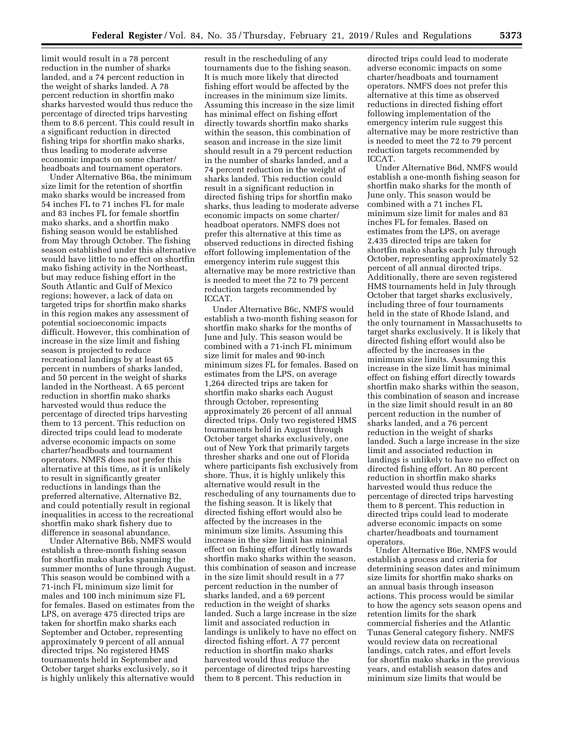limit would result in a 78 percent reduction in the number of sharks landed, and a 74 percent reduction in the weight of sharks landed. A 78 percent reduction in shortfin mako sharks harvested would thus reduce the percentage of directed trips harvesting them to 8.6 percent. This could result in a significant reduction in directed fishing trips for shortfin mako sharks, thus leading to moderate adverse economic impacts on some charter/ headboats and tournament operators.

Under Alternative B6a, the minimum size limit for the retention of shortfin mako sharks would be increased from 54 inches FL to 71 inches FL for male and 83 inches FL for female shortfin mako sharks, and a shortfin mako fishing season would be established from May through October. The fishing season established under this alternative would have little to no effect on shortfin mako fishing activity in the Northeast, but may reduce fishing effort in the South Atlantic and Gulf of Mexico regions; however, a lack of data on targeted trips for shortfin mako sharks in this region makes any assessment of potential socioeconomic impacts difficult. However, this combination of increase in the size limit and fishing season is projected to reduce recreational landings by at least 65 percent in numbers of sharks landed, and 50 percent in the weight of sharks landed in the Northeast. A 65 percent reduction in shortfin mako sharks harvested would thus reduce the percentage of directed trips harvesting them to 13 percent. This reduction on directed trips could lead to moderate adverse economic impacts on some charter/headboats and tournament operators. NMFS does not prefer this alternative at this time, as it is unlikely to result in significantly greater reductions in landings than the preferred alternative, Alternative B2, and could potentially result in regional inequalities in access to the recreational shortfin mako shark fishery due to difference in seasonal abundance.

Under Alternative B6b, NMFS would establish a three-month fishing season for shortfin mako sharks spanning the summer months of June through August. This season would be combined with a 71-inch FL minimum size limit for males and 100 inch minimum size FL for females. Based on estimates from the LPS, on average 475 directed trips are taken for shortfin mako sharks each September and October, representing approximately 9 percent of all annual directed trips. No registered HMS tournaments held in September and October target sharks exclusively, so it is highly unlikely this alternative would

result in the rescheduling of any tournaments due to the fishing season. It is much more likely that directed fishing effort would be affected by the increases in the minimum size limits. Assuming this increase in the size limit has minimal effect on fishing effort directly towards shortfin mako sharks within the season, this combination of season and increase in the size limit should result in a 79 percent reduction in the number of sharks landed, and a 74 percent reduction in the weight of sharks landed. This reduction could result in a significant reduction in directed fishing trips for shortfin mako sharks, thus leading to moderate adverse economic impacts on some charter/ headboat operators. NMFS does not prefer this alternative at this time as observed reductions in directed fishing effort following implementation of the emergency interim rule suggest this alternative may be more restrictive than is needed to meet the 72 to 79 percent reduction targets recommended by ICCAT.

Under Alternative B6c, NMFS would establish a two-month fishing season for shortfin mako sharks for the months of June and July. This season would be combined with a 71-inch FL minimum size limit for males and 90-inch minimum sizes FL for females. Based on estimates from the LPS, on average 1,264 directed trips are taken for shortfin mako sharks each August through October, representing approximately 26 percent of all annual directed trips. Only two registered HMS tournaments held in August through October target sharks exclusively, one out of New York that primarily targets thresher sharks and one out of Florida where participants fish exclusively from shore. Thus, it is highly unlikely this alternative would result in the rescheduling of any tournaments due to the fishing season. It is likely that directed fishing effort would also be affected by the increases in the minimum size limits. Assuming this increase in the size limit has minimal effect on fishing effort directly towards shortfin mako sharks within the season, this combination of season and increase in the size limit should result in a 77 percent reduction in the number of sharks landed, and a 69 percent reduction in the weight of sharks landed. Such a large increase in the size limit and associated reduction in landings is unlikely to have no effect on directed fishing effort. A 77 percent reduction in shortfin mako sharks harvested would thus reduce the percentage of directed trips harvesting them to 8 percent. This reduction in

directed trips could lead to moderate adverse economic impacts on some charter/headboats and tournament operators. NMFS does not prefer this alternative at this time as observed reductions in directed fishing effort following implementation of the emergency interim rule suggest this alternative may be more restrictive than is needed to meet the 72 to 79 percent reduction targets recommended by ICCAT.

Under Alternative B6d, NMFS would establish a one-month fishing season for shortfin mako sharks for the month of June only. This season would be combined with a 71 inches FL minimum size limit for males and 83 inches FL for females. Based on estimates from the LPS, on average 2,435 directed trips are taken for shortfin mako sharks each July through October, representing approximately 52 percent of all annual directed trips. Additionally, there are seven registered HMS tournaments held in July through October that target sharks exclusively, including three of four tournaments held in the state of Rhode Island, and the only tournament in Massachusetts to target sharks exclusively. It is likely that directed fishing effort would also be affected by the increases in the minimum size limits. Assuming this increase in the size limit has minimal effect on fishing effort directly towards shortfin mako sharks within the season, this combination of season and increase in the size limit should result in an 80 percent reduction in the number of sharks landed, and a 76 percent reduction in the weight of sharks landed. Such a large increase in the size limit and associated reduction in landings is unlikely to have no effect on directed fishing effort. An 80 percent reduction in shortfin mako sharks harvested would thus reduce the percentage of directed trips harvesting them to 8 percent. This reduction in directed trips could lead to moderate adverse economic impacts on some charter/headboats and tournament operators.

Under Alternative B6e, NMFS would establish a process and criteria for determining season dates and minimum size limits for shortfin mako sharks on an annual basis through inseason actions. This process would be similar to how the agency sets season opens and retention limits for the shark commercial fisheries and the Atlantic Tunas General category fishery. NMFS would review data on recreational landings, catch rates, and effort levels for shortfin mako sharks in the previous years, and establish season dates and minimum size limits that would be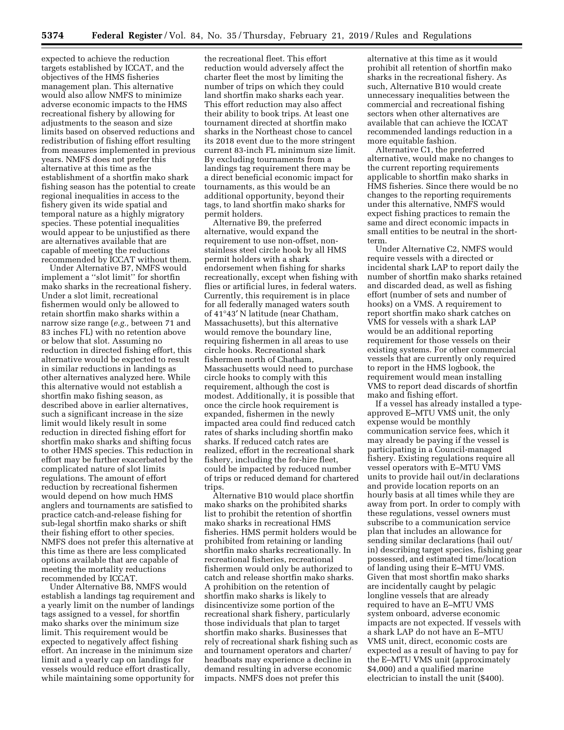expected to achieve the reduction targets established by ICCAT, and the objectives of the HMS fisheries management plan. This alternative would also allow NMFS to minimize adverse economic impacts to the HMS recreational fishery by allowing for adjustments to the season and size limits based on observed reductions and redistribution of fishing effort resulting from measures implemented in previous years. NMFS does not prefer this alternative at this time as the establishment of a shortfin mako shark fishing season has the potential to create regional inequalities in access to the fishery given its wide spatial and temporal nature as a highly migratory species. These potential inequalities would appear to be unjustified as there are alternatives available that are capable of meeting the reductions recommended by ICCAT without them.

Under Alternative B7, NMFS would implement a ''slot limit'' for shortfin mako sharks in the recreational fishery. Under a slot limit, recreational fishermen would only be allowed to retain shortfin mako sharks within a narrow size range (*e.g.,* between 71 and 83 inches FL) with no retention above or below that slot. Assuming no reduction in directed fishing effort, this alternative would be expected to result in similar reductions in landings as other alternatives analyzed here. While this alternative would not establish a shortfin mako fishing season, as described above in earlier alternatives, such a significant increase in the size limit would likely result in some reduction in directed fishing effort for shortfin mako sharks and shifting focus to other HMS species. This reduction in effort may be further exacerbated by the complicated nature of slot limits regulations. The amount of effort reduction by recreational fishermen would depend on how much HMS anglers and tournaments are satisfied to practice catch-and-release fishing for sub-legal shortfin mako sharks or shift their fishing effort to other species. NMFS does not prefer this alternative at this time as there are less complicated options available that are capable of meeting the mortality reductions recommended by ICCAT.

Under Alternative B8, NMFS would establish a landings tag requirement and a yearly limit on the number of landings tags assigned to a vessel, for shortfin mako sharks over the minimum size limit. This requirement would be expected to negatively affect fishing effort. An increase in the minimum size limit and a yearly cap on landings for vessels would reduce effort drastically, while maintaining some opportunity for

the recreational fleet. This effort reduction would adversely affect the charter fleet the most by limiting the number of trips on which they could land shortfin mako sharks each year. This effort reduction may also affect their ability to book trips. At least one tournament directed at shortfin mako sharks in the Northeast chose to cancel its 2018 event due to the more stringent current 83-inch FL minimum size limit. By excluding tournaments from a landings tag requirement there may be a direct beneficial economic impact for tournaments, as this would be an additional opportunity, beyond their tags, to land shortfin mako sharks for permit holders.

Alternative B9, the preferred alternative, would expand the requirement to use non-offset, nonstainless steel circle hook by all HMS permit holders with a shark endorsement when fishing for sharks recreationally, except when fishing with flies or artificial lures, in federal waters. Currently, this requirement is in place for all federally managed waters south of 41°43′ N latitude (near Chatham, Massachusetts), but this alternative would remove the boundary line, requiring fishermen in all areas to use circle hooks. Recreational shark fishermen north of Chatham, Massachusetts would need to purchase circle hooks to comply with this requirement, although the cost is modest. Additionally, it is possible that once the circle hook requirement is expanded, fishermen in the newly impacted area could find reduced catch rates of sharks including shortfin mako sharks. If reduced catch rates are realized, effort in the recreational shark fishery, including the for-hire fleet, could be impacted by reduced number of trips or reduced demand for chartered trips.

Alternative B10 would place shortfin mako sharks on the prohibited sharks list to prohibit the retention of shortfin mako sharks in recreational HMS fisheries. HMS permit holders would be prohibited from retaining or landing shortfin mako sharks recreationally. In recreational fisheries, recreational fishermen would only be authorized to catch and release shortfin mako sharks. A prohibition on the retention of shortfin mako sharks is likely to disincentivize some portion of the recreational shark fishery, particularly those individuals that plan to target shortfin mako sharks. Businesses that rely of recreational shark fishing such as and tournament operators and charter/ headboats may experience a decline in demand resulting in adverse economic impacts. NMFS does not prefer this

alternative at this time as it would prohibit all retention of shortfin mako sharks in the recreational fishery. As such, Alternative B10 would create unnecessary inequalities between the commercial and recreational fishing sectors when other alternatives are available that can achieve the ICCAT recommended landings reduction in a more equitable fashion.

Alternative C1, the preferred alternative, would make no changes to the current reporting requirements applicable to shortfin mako sharks in HMS fisheries. Since there would be no changes to the reporting requirements under this alternative, NMFS would expect fishing practices to remain the same and direct economic impacts in small entities to be neutral in the shortterm.

Under Alternative C2, NMFS would require vessels with a directed or incidental shark LAP to report daily the number of shortfin mako sharks retained and discarded dead, as well as fishing effort (number of sets and number of hooks) on a VMS. A requirement to report shortfin mako shark catches on VMS for vessels with a shark LAP would be an additional reporting requirement for those vessels on their existing systems. For other commercial vessels that are currently only required to report in the HMS logbook, the requirement would mean installing VMS to report dead discards of shortfin mako and fishing effort.

If a vessel has already installed a typeapproved E–MTU VMS unit, the only expense would be monthly communication service fees, which it may already be paying if the vessel is participating in a Council-managed fishery. Existing regulations require all vessel operators with E–MTU VMS units to provide hail out/in declarations and provide location reports on an hourly basis at all times while they are away from port. In order to comply with these regulations, vessel owners must subscribe to a communication service plan that includes an allowance for sending similar declarations (hail out/ in) describing target species, fishing gear possessed, and estimated time/location of landing using their E–MTU VMS. Given that most shortfin mako sharks are incidentally caught by pelagic longline vessels that are already required to have an E–MTU VMS system onboard, adverse economic impacts are not expected. If vessels with a shark LAP do not have an E–MTU VMS unit, direct, economic costs are expected as a result of having to pay for the E–MTU VMS unit (approximately \$4,000) and a qualified marine electrician to install the unit (\$400).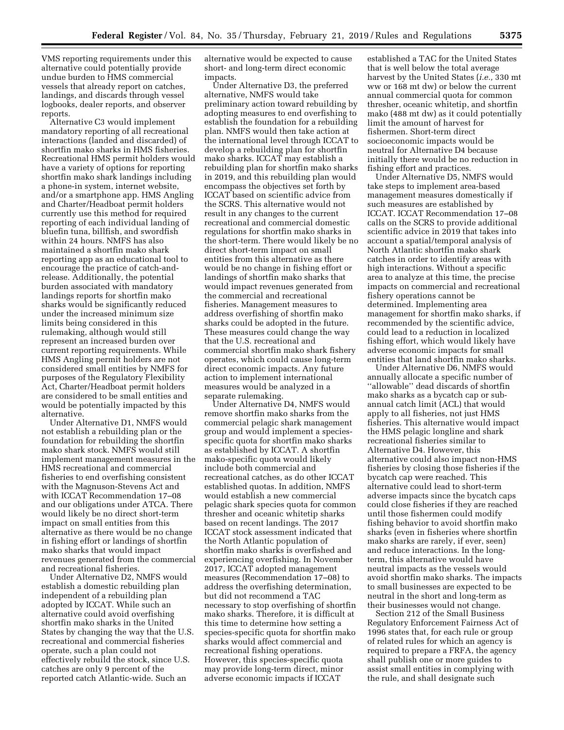VMS reporting requirements under this alternative could potentially provide undue burden to HMS commercial vessels that already report on catches, landings, and discards through vessel logbooks, dealer reports, and observer reports.

Alternative C3 would implement mandatory reporting of all recreational interactions (landed and discarded) of shortfin mako sharks in HMS fisheries. Recreational HMS permit holders would have a variety of options for reporting shortfin mako shark landings including a phone-in system, internet website, and/or a smartphone app. HMS Angling and Charter/Headboat permit holders currently use this method for required reporting of each individual landing of bluefin tuna, billfish, and swordfish within 24 hours. NMFS has also maintained a shortfin mako shark reporting app as an educational tool to encourage the practice of catch-andrelease. Additionally, the potential burden associated with mandatory landings reports for shortfin mako sharks would be significantly reduced under the increased minimum size limits being considered in this rulemaking, although would still represent an increased burden over current reporting requirements. While HMS Angling permit holders are not considered small entities by NMFS for purposes of the Regulatory Flexibility Act, Charter/Headboat permit holders are considered to be small entities and would be potentially impacted by this alternative.

Under Alternative D1, NMFS would not establish a rebuilding plan or the foundation for rebuilding the shortfin mako shark stock. NMFS would still implement management measures in the HMS recreational and commercial fisheries to end overfishing consistent with the Magnuson-Stevens Act and with ICCAT Recommendation 17–08 and our obligations under ATCA. There would likely be no direct short-term impact on small entities from this alternative as there would be no change in fishing effort or landings of shortfin mako sharks that would impact revenues generated from the commercial and recreational fisheries.

Under Alternative D2, NMFS would establish a domestic rebuilding plan independent of a rebuilding plan adopted by ICCAT. While such an alternative could avoid overfishing shortfin mako sharks in the United States by changing the way that the U.S. recreational and commercial fisheries operate, such a plan could not effectively rebuild the stock, since U.S. catches are only 9 percent of the reported catch Atlantic-wide. Such an

alternative would be expected to cause short- and long-term direct economic impacts.

Under Alternative D3, the preferred alternative, NMFS would take preliminary action toward rebuilding by adopting measures to end overfishing to establish the foundation for a rebuilding plan. NMFS would then take action at the international level through ICCAT to develop a rebuilding plan for shortfin mako sharks. ICCAT may establish a rebuilding plan for shortfin mako sharks in 2019, and this rebuilding plan would encompass the objectives set forth by ICCAT based on scientific advice from the SCRS. This alternative would not result in any changes to the current recreational and commercial domestic regulations for shortfin mako sharks in the short-term. There would likely be no direct short-term impact on small entities from this alternative as there would be no change in fishing effort or landings of shortfin mako sharks that would impact revenues generated from the commercial and recreational fisheries. Management measures to address overfishing of shortfin mako sharks could be adopted in the future. These measures could change the way that the U.S. recreational and commercial shortfin mako shark fishery operates, which could cause long-term direct economic impacts. Any future action to implement international measures would be analyzed in a separate rulemaking.

Under Alternative D4, NMFS would remove shortfin mako sharks from the commercial pelagic shark management group and would implement a speciesspecific quota for shortfin mako sharks as established by ICCAT. A shortfin mako-specific quota would likely include both commercial and recreational catches, as do other ICCAT established quotas. In addition, NMFS would establish a new commercial pelagic shark species quota for common thresher and oceanic whitetip sharks based on recent landings. The 2017 ICCAT stock assessment indicated that the North Atlantic population of shortfin mako sharks is overfished and experiencing overfishing. In November 2017, ICCAT adopted management measures (Recommendation 17–08) to address the overfishing determination, but did not recommend a TAC necessary to stop overfishing of shortfin mako sharks. Therefore, it is difficult at this time to determine how setting a species-specific quota for shortfin mako sharks would affect commercial and recreational fishing operations. However, this species-specific quota may provide long-term direct, minor adverse economic impacts if ICCAT

established a TAC for the United States that is well below the total average harvest by the United States (*i.e.,* 330 mt ww or 168 mt dw) or below the current annual commercial quota for common thresher, oceanic whitetip, and shortfin mako (488 mt dw) as it could potentially limit the amount of harvest for fishermen. Short-term direct socioeconomic impacts would be neutral for Alternative D4 because initially there would be no reduction in fishing effort and practices.

Under Alternative D5, NMFS would take steps to implement area-based management measures domestically if such measures are established by ICCAT. ICCAT Recommendation 17–08 calls on the SCRS to provide additional scientific advice in 2019 that takes into account a spatial/temporal analysis of North Atlantic shortfin mako shark catches in order to identify areas with high interactions. Without a specific area to analyze at this time, the precise impacts on commercial and recreational fishery operations cannot be determined. Implementing area management for shortfin mako sharks, if recommended by the scientific advice, could lead to a reduction in localized fishing effort, which would likely have adverse economic impacts for small entities that land shortfin mako sharks.

Under Alternative D6, NMFS would annually allocate a specific number of ''allowable'' dead discards of shortfin mako sharks as a bycatch cap or subannual catch limit (ACL) that would apply to all fisheries, not just HMS fisheries. This alternative would impact the HMS pelagic longline and shark recreational fisheries similar to Alternative D4. However, this alternative could also impact non-HMS fisheries by closing those fisheries if the bycatch cap were reached. This alternative could lead to short-term adverse impacts since the bycatch caps could close fisheries if they are reached until those fishermen could modify fishing behavior to avoid shortfin mako sharks (even in fisheries where shortfin mako sharks are rarely, if ever, seen) and reduce interactions. In the longterm, this alternative would have neutral impacts as the vessels would avoid shortfin mako sharks. The impacts to small businesses are expected to be neutral in the short and long-term as their businesses would not change.

Section 212 of the Small Business Regulatory Enforcement Fairness Act of 1996 states that, for each rule or group of related rules for which an agency is required to prepare a FRFA, the agency shall publish one or more guides to assist small entities in complying with the rule, and shall designate such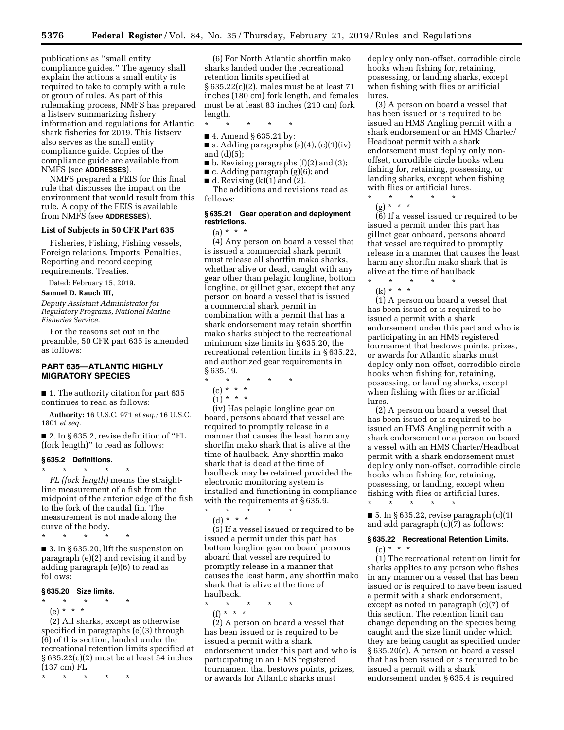publications as ''small entity compliance guides.'' The agency shall explain the actions a small entity is required to take to comply with a rule or group of rules. As part of this rulemaking process, NMFS has prepared a listserv summarizing fishery information and regulations for Atlantic shark fisheries for 2019. This listserv also serves as the small entity compliance guide. Copies of the compliance guide are available from NMFS (see **ADDRESSES**).

NMFS prepared a FEIS for this final rule that discusses the impact on the environment that would result from this rule. A copy of the FEIS is available from NMFS (see **ADDRESSES**).

#### **List of Subjects in 50 CFR Part 635**

Fisheries, Fishing, Fishing vessels, Foreign relations, Imports, Penalties, Reporting and recordkeeping requirements, Treaties.

Dated: February 15, 2019.

**Samuel D. Rauch III,** 

*Deputy Assistant Administrator for Regulatory Programs, National Marine Fisheries Service.* 

For the reasons set out in the preamble, 50 CFR part 635 is amended as follows:

## **PART 635—ATLANTIC HIGHLY MIGRATORY SPECIES**

■ 1. The authority citation for part 635 continues to read as follows:

**Authority:** 16 U.S.C. 971 *et seq.;* 16 U.S.C. 1801 *et seq.* 

■ 2. In § 635.2, revise definition of "FL (fork length)'' to read as follows:

### **§ 635.2 Definitions.**

\* \* \* \* \*

*FL (fork length)* means the straightline measurement of a fish from the midpoint of the anterior edge of the fish to the fork of the caudal fin. The measurement is not made along the curve of the body.

\* \* \* \* \*

■ 3. In § 635.20, lift the suspension on paragraph (e)(2) and revising it and by adding paragraph (e)(6) to read as follows:

### **§ 635.20 Size limits.**

- \* \* \* \* \*
	- (e) \* \* \*

(2) All sharks, except as otherwise specified in paragraphs (e)(3) through (6) of this section, landed under the recreational retention limits specified at § 635.22(c)(2) must be at least 54 inches (137 cm) FL.

\* \* \* \* \*

(6) For North Atlantic shortfin mako sharks landed under the recreational retention limits specified at § 635.22(c)(2), males must be at least 71 inches (180 cm) fork length, and females must be at least 83 inches (210 cm) fork length.

\* \* \* \* \*

- 4. Amend § 635.21 by:  $\blacksquare$  a. Adding paragraphs (a)(4), (c)(1)(iv), and (d)(5);
- b. Revising paragraphs (f)(2) and (3);
- c. Adding paragraph (g)(6); and
- $\blacksquare$  d. Revising (k)(1) and (2).

The additions and revisions read as follows:

### **§ 635.21 Gear operation and deployment restrictions.**

 $(a) * * * *$ 

(4) Any person on board a vessel that is issued a commercial shark permit must release all shortfin mako sharks, whether alive or dead, caught with any gear other than pelagic longline, bottom longline, or gillnet gear, except that any person on board a vessel that is issued a commercial shark permit in combination with a permit that has a shark endorsement may retain shortfin mako sharks subject to the recreational minimum size limits in § 635.20, the recreational retention limits in § 635.22, and authorized gear requirements in § 635.19.

- \* \* \* \* \*
	- (c) \* \* \*
	- $(1) * * * *$

(iv) Has pelagic longline gear on board, persons aboard that vessel are required to promptly release in a manner that causes the least harm any shortfin mako shark that is alive at the time of haulback. Any shortfin mako shark that is dead at the time of haulback may be retained provided the electronic monitoring system is installed and functioning in compliance with the requirements at §635.9.

\* \* \* \* \* (d) \* \* \*

(5) If a vessel issued or required to be issued a permit under this part has bottom longline gear on board persons aboard that vessel are required to promptly release in a manner that causes the least harm, any shortfin mako shark that is alive at the time of haulback.

\* \* \* \* \*

(f) \* \* \*

(2) A person on board a vessel that has been issued or is required to be issued a permit with a shark endorsement under this part and who is participating in an HMS registered tournament that bestows points, prizes, or awards for Atlantic sharks must

deploy only non-offset, corrodible circle hooks when fishing for, retaining, possessing, or landing sharks, except when fishing with flies or artificial lures.

(3) A person on board a vessel that has been issued or is required to be issued an HMS Angling permit with a shark endorsement or an HMS Charter/ Headboat permit with a shark endorsement must deploy only nonoffset, corrodible circle hooks when fishing for, retaining, possessing, or landing sharks, except when fishing with flies or artificial lures.

- \* \* \* \* \*
	- (g) \* \* \*

(6) If a vessel issued or required to be issued a permit under this part has gillnet gear onboard, persons aboard that vessel are required to promptly release in a manner that causes the least harm any shortfin mako shark that is alive at the time of haulback. \* \* \* \* \*

(k) \* \* \*

(1) A person on board a vessel that has been issued or is required to be issued a permit with a shark endorsement under this part and who is participating in an HMS registered tournament that bestows points, prizes, or awards for Atlantic sharks must deploy only non-offset, corrodible circle hooks when fishing for, retaining, possessing, or landing sharks, except when fishing with flies or artificial lures.

(2) A person on board a vessel that has been issued or is required to be issued an HMS Angling permit with a shark endorsement or a person on board a vessel with an HMS Charter/Headboat permit with a shark endorsement must deploy only non-offset, corrodible circle hooks when fishing for, retaining, possessing, or landing, except when fishing with flies or artificial lures. \* \* \* \* \*

■ 5. In § 635.22, revise paragraph  $(c)(1)$ and add paragraph (c)(7) as follows:

#### **§ 635.22 Recreational Retention Limits.**

 $(c) * * * *$ 

(1) The recreational retention limit for sharks applies to any person who fishes in any manner on a vessel that has been issued or is required to have been issued a permit with a shark endorsement, except as noted in paragraph (c)(7) of this section. The retention limit can change depending on the species being caught and the size limit under which they are being caught as specified under § 635.20(e). A person on board a vessel that has been issued or is required to be issued a permit with a shark endorsement under § 635.4 is required